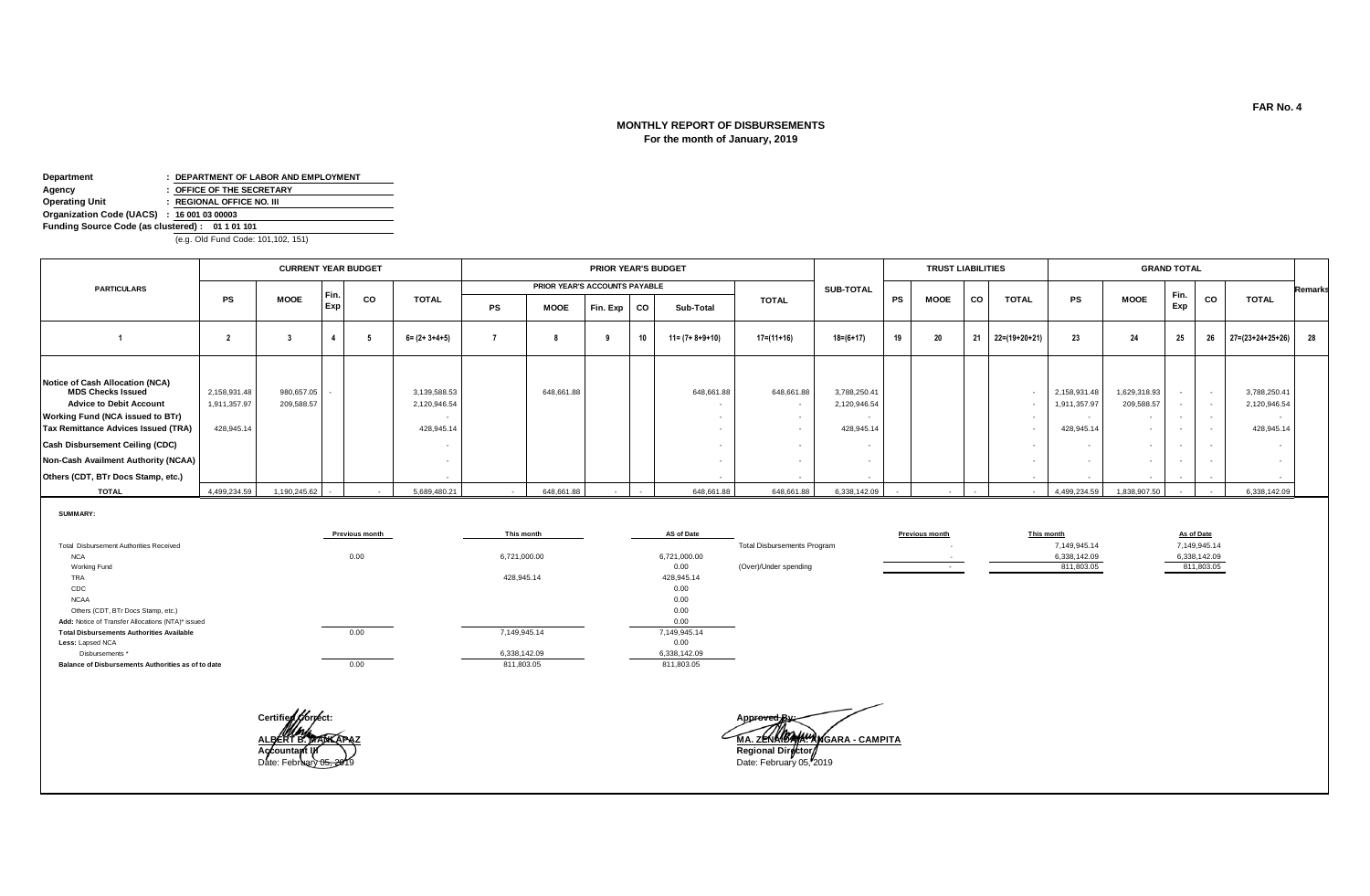# **MONTHLY REPORT OF DISBURSEMENTS For the month of January, 2019**

**Department : DEPARTMENT OF LABOR AND EMPLOYMENT Agency : OFFICE OF THE SECRETARY**<br> **COPERATION DESCRIPTION OF THE SECRETARY Operating Unit : REGIONAL OFFICE NO. III Organization Code (UACS) : 16 001 03 00003 Funding Source Code (as clustered) : 01 1 01 101** 

**Less:** Lapsed NCA Disbursements \*

**Balance of Disbursements Authorities as of to date**

(e.g. Old Fund Code: 101,102, 151)

|                                                                                                                                                                                                                    |                                            | <b>CURRENT YEAR BUDGET</b> |                        |                       |                                            |              |                               | <b>PRIOR YEAR'S BUDGET</b> |        |                                                                      |                                    |                                            |    | <b>TRUST LIABILITIES</b> |        |                                                                          |                                            |                                                                            | <b>GRAND TOTAL</b>                   |                                                |                                                                  |                |
|--------------------------------------------------------------------------------------------------------------------------------------------------------------------------------------------------------------------|--------------------------------------------|----------------------------|------------------------|-----------------------|--------------------------------------------|--------------|-------------------------------|----------------------------|--------|----------------------------------------------------------------------|------------------------------------|--------------------------------------------|----|--------------------------|--------|--------------------------------------------------------------------------|--------------------------------------------|----------------------------------------------------------------------------|--------------------------------------|------------------------------------------------|------------------------------------------------------------------|----------------|
| <b>PARTICULARS</b>                                                                                                                                                                                                 |                                            |                            |                        |                       |                                            |              | PRIOR YEAR'S ACCOUNTS PAYABLE |                            |        |                                                                      |                                    | <b>SUB-TOTAL</b>                           |    |                          |        |                                                                          |                                            |                                                                            |                                      |                                                |                                                                  | <b>Remarks</b> |
|                                                                                                                                                                                                                    | PS                                         | <b>MOOE</b>                | Fin.<br>Exp            | CO                    | <b>TOTAL</b>                               | PS           | MOOE                          | Fin. Exp                   | CO     | Sub-Total                                                            | <b>TOTAL</b>                       |                                            | PS | <b>MOOE</b>              | CO     | <b>TOTAL</b>                                                             | PS                                         | <b>MOOE</b>                                                                | Fin.<br>Exp                          | CO                                             | <b>TOTAL</b>                                                     |                |
|                                                                                                                                                                                                                    |                                            |                            | $\boldsymbol{\Lambda}$ |                       | $6 = (2 + 3 + 4 + 5)$                      |              |                               |                            | 10     | $11 = (7 + 8 + 9 + 10)$                                              | $17 = (11 + 16)$                   | $18 = (6 + 17)$                            | 19 | 20                       | 21     | $22=(19+20+21)$                                                          | 23                                         | 24                                                                         | 25                                   | 26                                             | $27 = (23 + 24 + 25 + 26)$                                       | 28             |
| Notice of Cash Allocation (NCA)<br><b>MDS Checks Issued</b><br><b>Advice to Debit Account</b><br>Working Fund (NCA issued to BTr)<br><b>Tax Remittance Advices Issued (TRA)</b><br>Cash Disbursement Ceiling (CDC) | 2,158,931.48<br>1,911,357.97<br>428,945.14 | 980,657.05<br>209.588.57   |                        |                       | 3,139,588.53<br>2,120,946.54<br>428,945.14 |              | 648,661.88                    |                            |        | 648,661.88<br>$\sim$<br>$\sim$<br>$\overline{\phantom{a}}$<br>$\sim$ | 648,661.88                         | 3,788,250.41<br>2,120,946.54<br>428,945.14 |    |                          |        | $\overline{\phantom{a}}$<br>$\sim$<br>$\overline{\phantom{a}}$<br>$\sim$ | 2,158,931.48<br>1,911,357.97<br>428,945.14 | 1,629,318.93<br>209,588.57<br>$\sim$<br>$\overline{\phantom{a}}$<br>$\sim$ | $\sim$<br>$\sim$<br>$\sim$<br>$\sim$ | $\sim$<br>$\sim$<br>$\sim$<br>$\sim$<br>$\sim$ | 3,788,250.41<br>2,120,946.54<br>$\sim$<br>428,945.14<br><b>.</b> |                |
| Non-Cash Availment Authority (NCAA)                                                                                                                                                                                |                                            |                            |                        |                       |                                            |              |                               |                            |        | $\sim$                                                               |                                    |                                            |    |                          |        | $\sim$                                                                   |                                            | $\sim$                                                                     |                                      | $\sim$                                         | $\sim$                                                           |                |
| Others (CDT, BTr Docs Stamp, etc.)                                                                                                                                                                                 |                                            |                            |                        |                       |                                            |              |                               |                            |        |                                                                      |                                    |                                            |    |                          |        |                                                                          |                                            | $\overline{\phantom{a}}$                                                   |                                      |                                                | $\sim$                                                           |                |
| <b>TOTAL</b>                                                                                                                                                                                                       | 4,499,234.59                               | 1,190,245.62               |                        | $\sim$                | 5,689,480.21                               | $\sim$       | 648,661.88                    | $\sim$                     | $\sim$ | 648,661.88                                                           | 648,661.88                         | 6,338,142.09                               |    | $\sim$                   | $\sim$ | $\sim$                                                                   | 4,499,234.59                               | 1,838,907.50                                                               |                                      | $\sim$                                         | 6,338,142.09                                                     |                |
| SUMMARY:                                                                                                                                                                                                           |                                            |                            |                        | <b>Previous month</b> |                                            | This month   |                               |                            |        | AS of Date                                                           |                                    |                                            |    | <b>Previous month</b>    |        |                                                                          | This month                                 |                                                                            |                                      | As of Date                                     |                                                                  |                |
| Total Disbursement Authorities Received                                                                                                                                                                            |                                            |                            |                        |                       |                                            |              |                               |                            |        |                                                                      | <b>Total Disbursements Program</b> |                                            |    |                          |        |                                                                          | 7,149,945.14                               |                                                                            |                                      | 7,149,945.14                                   |                                                                  |                |
| <b>NCA</b><br>Working Fund                                                                                                                                                                                         |                                            |                            |                        | 0.00                  |                                            | 6,721,000.00 |                               |                            |        | 6,721,000.00<br>0.00                                                 | (Over)/Under spending              |                                            |    | $\sim$ $-$               |        |                                                                          | 6,338,142.09<br>811,803.05                 |                                                                            |                                      | 6,338,142.09<br>811,803.05                     |                                                                  |                |
| <b>TRA</b>                                                                                                                                                                                                         |                                            |                            |                        |                       |                                            | 428,945.14   |                               |                            |        | 428,945.14                                                           |                                    |                                            |    |                          |        |                                                                          |                                            |                                                                            |                                      |                                                |                                                                  |                |
| CDC                                                                                                                                                                                                                |                                            |                            |                        |                       |                                            |              |                               |                            |        | 0.00                                                                 |                                    |                                            |    |                          |        |                                                                          |                                            |                                                                            |                                      |                                                |                                                                  |                |
| <b>NCAA</b>                                                                                                                                                                                                        |                                            |                            |                        |                       |                                            |              |                               |                            |        | 0.00                                                                 |                                    |                                            |    |                          |        |                                                                          |                                            |                                                                            |                                      |                                                |                                                                  |                |
| Others (CDT, BTr Docs Stamp, etc.)                                                                                                                                                                                 |                                            |                            |                        |                       |                                            |              |                               |                            |        | 0.00                                                                 |                                    |                                            |    |                          |        |                                                                          |                                            |                                                                            |                                      |                                                |                                                                  |                |
| Add: Notice of Transfer Allocations (NTA)* issued                                                                                                                                                                  |                                            |                            |                        |                       |                                            |              |                               |                            |        | 0.00                                                                 |                                    |                                            |    |                          |        |                                                                          |                                            |                                                                            |                                      |                                                |                                                                  |                |
| <b>Total Disbursements Authorities Available</b>                                                                                                                                                                   |                                            |                            |                        | 0.00                  |                                            | 7,149,945.14 |                               |                            |        | 7,149,945.14                                                         |                                    |                                            |    |                          |        |                                                                          |                                            |                                                                            |                                      |                                                |                                                                  |                |

811,803.05 0.00

6,338,142.09 6,338,142.09

811,803.05

**Certified Correct: Approved By:**

0.00

**ALBERT BERTHAM ANGARA - CAMPITA Accountant III Regional Director** Date: February 05, 2019 Date: February 05, 2019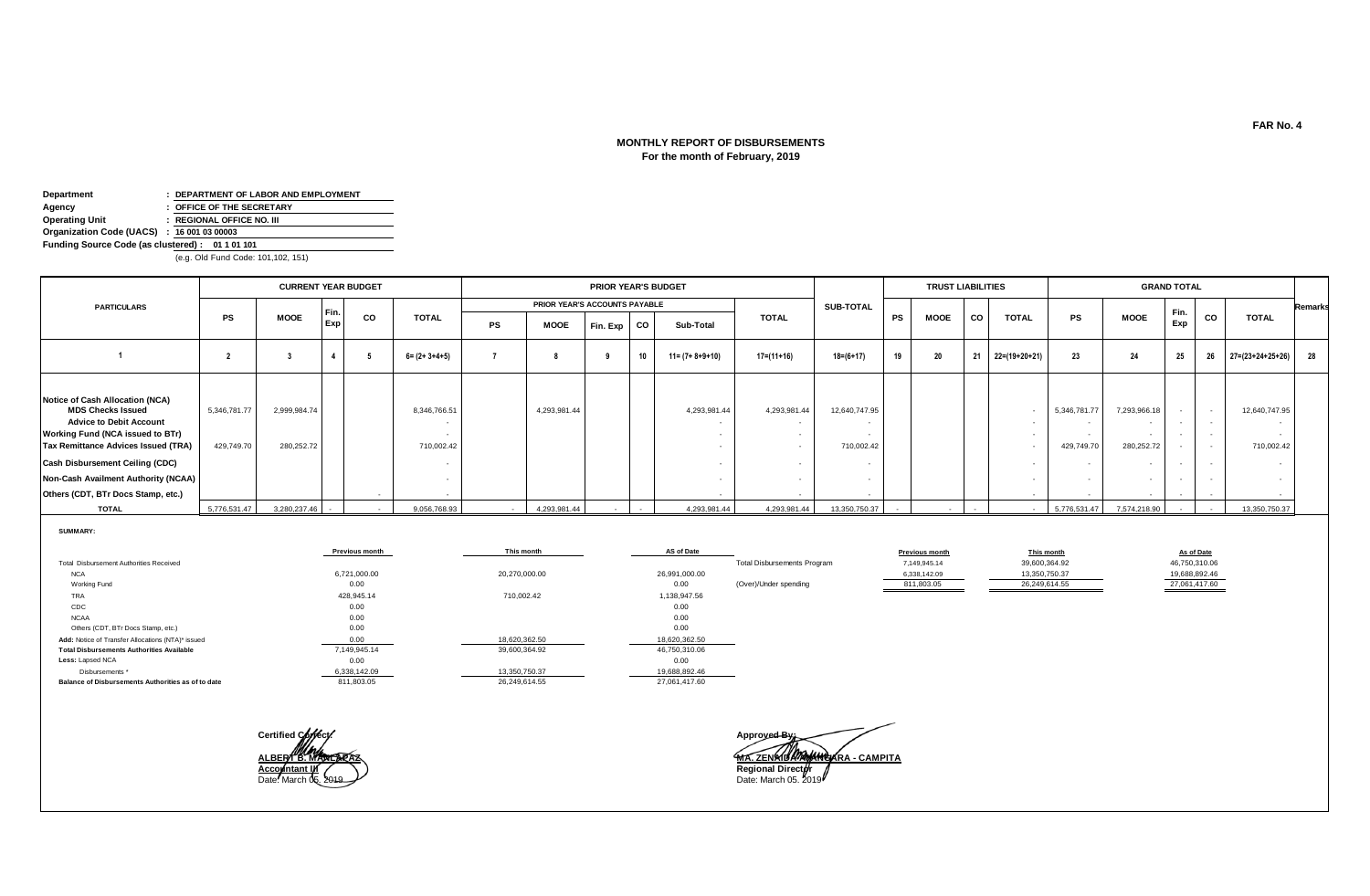# **For the month of February, 2019 MONTHLY REPORT OF DISBURSEMENTS**

| Department                                      | : DEPARTMENT OF LABOR AND EMPLOYMENT |  |  |  |  |  |  |  |  |  |  |  |
|-------------------------------------------------|--------------------------------------|--|--|--|--|--|--|--|--|--|--|--|
| Agency                                          | : OFFICE OF THE SECRETARY            |  |  |  |  |  |  |  |  |  |  |  |
| <b>Operating Unit</b>                           | : REGIONAL OFFICE NO. III            |  |  |  |  |  |  |  |  |  |  |  |
| Organization Code (UACS) : 16 001 03 00003      |                                      |  |  |  |  |  |  |  |  |  |  |  |
| Funding Source Code (as clustered): 01 1 01 101 |                                      |  |  |  |  |  |  |  |  |  |  |  |
|                                                 |                                      |  |  |  |  |  |  |  |  |  |  |  |

(e.g. Old Fund Code: 101,102, 151)

|                                                                                                                                                                                                                                                                                                               |                            | <b>CURRENT YEAR BUDGET</b> |      |    |                            |        |                               | PRIOR YEAR'S BUDGET |    |                         |                                          |                             |           | <b>TRUST LIABILITIES</b> |        |               |                            |                                      | <b>GRAND TOTAL</b> |                                              |                                       |                |
|---------------------------------------------------------------------------------------------------------------------------------------------------------------------------------------------------------------------------------------------------------------------------------------------------------------|----------------------------|----------------------------|------|----|----------------------------|--------|-------------------------------|---------------------|----|-------------------------|------------------------------------------|-----------------------------|-----------|--------------------------|--------|---------------|----------------------------|--------------------------------------|--------------------|----------------------------------------------|---------------------------------------|----------------|
| <b>PARTICULARS</b>                                                                                                                                                                                                                                                                                            |                            |                            | Fin. |    |                            |        | PRIOR YEAR'S ACCOUNTS PAYABLE |                     |    |                         |                                          | <b>SUB-TOTAL</b>            |           |                          |        |               |                            |                                      |                    |                                              |                                       | <b>Remarks</b> |
|                                                                                                                                                                                                                                                                                                               | PS                         | <b>MOOE</b>                | Exp  | CO | <b>TOTAL</b>               | PS     | <b>MOOE</b>                   | Fin. Exp            | CO | Sub-Total               | <b>TOTAL</b>                             |                             | <b>PS</b> | <b>MOOE</b>              | CO     | <b>TOTAL</b>  | <b>PS</b>                  | <b>MOOE</b>                          | Fin.<br>Exp        | CO                                           | <b>TOTAL</b>                          |                |
|                                                                                                                                                                                                                                                                                                               |                            |                            |      |    | $6 = (2 + 3 + 4 + 5)$      |        |                               |                     | 10 | $11 = (7 + 8 + 9 + 10)$ | 17=(11+16)                               | 18=(6+17)                   | 19        | 20                       | 21     | 22=(19+20+21) | 23                         | 24                                   | 25                 | 26                                           | $27=(23+24+25+26)$ 28                 |                |
| Notice of Cash Allocation (NCA)<br><b>MDS Checks Issued</b><br><b>Advice to Debit Account</b><br><b>Working Fund (NCA issued to BTr)</b><br><b>Tax Remittance Advices Issued (TRA)</b><br>Cash Disbursement Ceiling (CDC)<br><b>Non-Cash Availment Authority (NCAA)</b><br>Others (CDT, BTr Docs Stamp, etc.) | 5,346,781.77<br>429,749.70 | 2,999,984.74<br>280,252.72 |      |    | 8,346,766.51<br>710,002.42 |        | 4,293,981.44                  |                     |    | 4,293,981.44            | 4,293,981.44<br>$\overline{\phantom{a}}$ | 12,640,747.95<br>710,002.42 |           |                          |        | $\sim$        | 5,346,781.77<br>429,749.70 | 7,293,966.18<br>$\sim$<br>280,252.72 |                    | $\overline{\phantom{a}}$<br>$\sim$<br>$\sim$ | 12,640,747.95<br>$\sim$<br>710,002.42 |                |
| <b>TOTAL</b>                                                                                                                                                                                                                                                                                                  | 5,776,531.47               | 3,280,237.46               |      |    | 9,056,768.93               | $\sim$ | 4,293,981.44                  |                     |    | 4,293,981.44            | 4,293,981.44                             | 13,350,750.37               |           |                          | $\sim$ | $\sim$        | 5,776,531.47               | 7,574,218.90                         |                    |                                              | 13,350,750.37                         |                |

**SUMMARY:**

|                                                    | <b>Previous month</b> | This month    | AS of Date    |                                    | <b>Previous month</b> | This month    | As of Date    |
|----------------------------------------------------|-----------------------|---------------|---------------|------------------------------------|-----------------------|---------------|---------------|
| Total Disbursement Authorities Received            |                       |               |               | <b>Total Disbursements Program</b> | 7,149,945.14          | 39,600,364.92 | 46,750,310.06 |
| <b>NCA</b>                                         | 6,721,000.00          | 20,270,000.00 | 26,991,000.00 |                                    | 6,338,142.09          | 13,350,750.37 | 19,688,892.46 |
| Working Fund                                       | 0.00                  |               | 0.00          | (Over)/Under spending              | 811,803.05            | 26,249,614.55 | 27,061,417.60 |
| TRA                                                | 428,945.14            | 710,002.42    | 1,138,947.56  |                                    |                       |               |               |
| CDC                                                | 0.00                  |               | 0.00          |                                    |                       |               |               |
| <b>NCAA</b>                                        | 0.00                  |               | 0.00          |                                    |                       |               |               |
| Others (CDT, BTr Docs Stamp, etc.)                 | 0.00                  |               | 0.00          |                                    |                       |               |               |
| Add: Notice of Transfer Allocations (NTA)* issued  |                       | 18,620,362.50 | 18,620,362.50 |                                    |                       |               |               |
| <b>Total Disbursements Authorities Available</b>   | 7,149,945.14          | 39,600,364.92 | 46,750,310.06 |                                    |                       |               |               |
| Less: Lapsed NCA                                   | 0.00                  |               | 0.00          |                                    |                       |               |               |
| Disbursements *                                    | 6,338,142.09          | 13,350,750.37 | 19,688,892.46 |                                    |                       |               |               |
| Balance of Disbursements Authorities as of to date | 811,803.05            | 26,249,614.55 | 27,061,417.60 |                                    |                       |               |               |



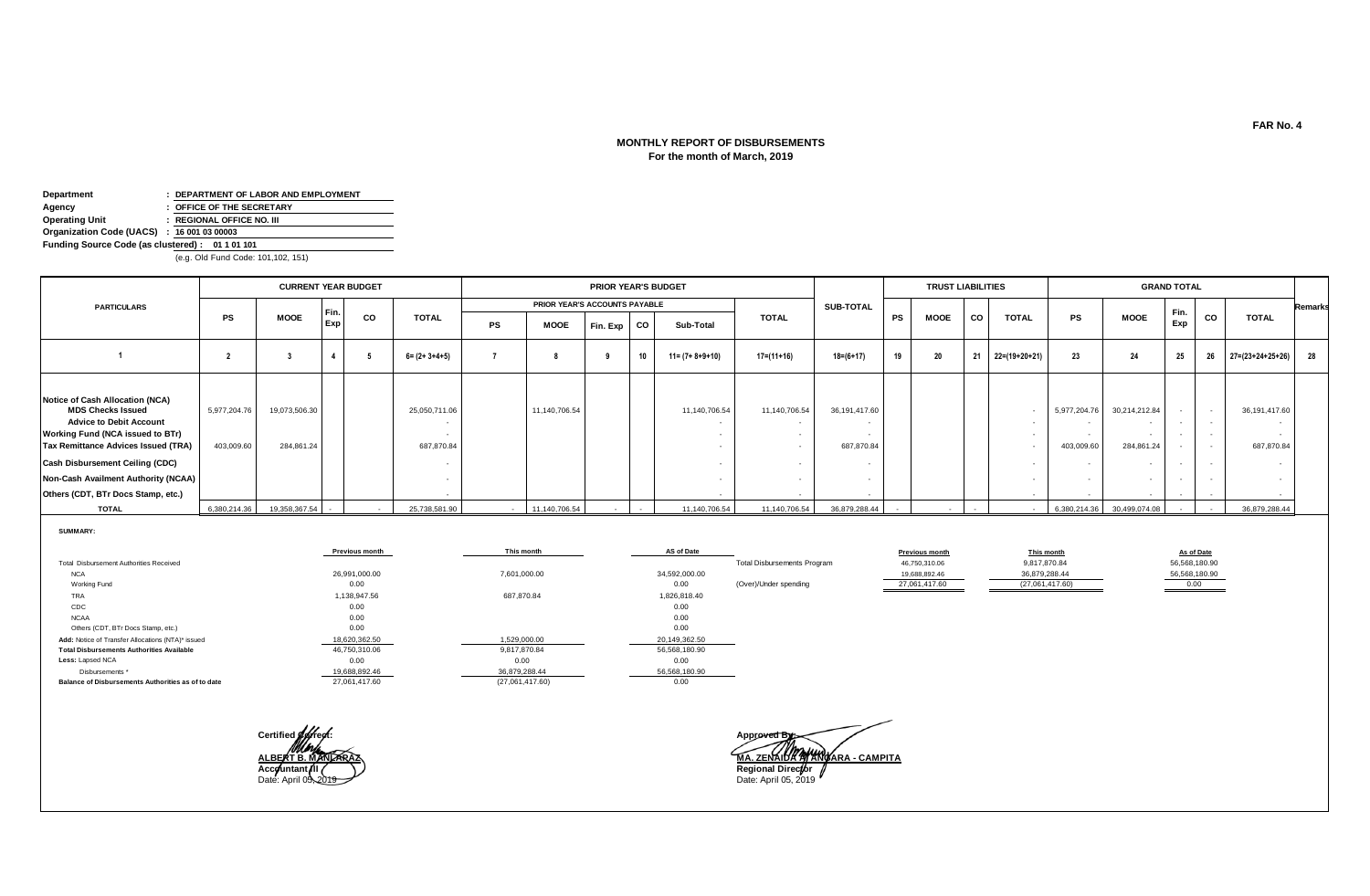# **MONTHLY REPORT OF DISBURSEMENTS For the month of March, 2019**

| Department                                      | : DEPARTMENT OF LABOR AND EMPLOYMENT |  |  |  |  |  |  |  |  |  |  |
|-------------------------------------------------|--------------------------------------|--|--|--|--|--|--|--|--|--|--|
| Agency                                          | : OFFICE OF THE SECRETARY            |  |  |  |  |  |  |  |  |  |  |
| <b>Operating Unit</b>                           | : REGIONAL OFFICE NO. III            |  |  |  |  |  |  |  |  |  |  |
| Organization Code (UACS) : 16 001 03 00003      |                                      |  |  |  |  |  |  |  |  |  |  |
| Funding Source Code (as clustered): 01 1 01 101 |                                      |  |  |  |  |  |  |  |  |  |  |

(e.g. Old Fund Code: 101,102, 151)

|                                                                                                                                                                                                                                                                                          |                            | <b>CURRENT YEAR BUDGET</b>  |      |           |                             |    |                               | PRIOR YEAR'S BUDGET |           |                         |               |                             |           | <b>TRUST LIABILITIES</b> |        |               |                            |                             | <b>GRAND TOTAL</b> |                    |                                    |                |
|------------------------------------------------------------------------------------------------------------------------------------------------------------------------------------------------------------------------------------------------------------------------------------------|----------------------------|-----------------------------|------|-----------|-----------------------------|----|-------------------------------|---------------------|-----------|-------------------------|---------------|-----------------------------|-----------|--------------------------|--------|---------------|----------------------------|-----------------------------|--------------------|--------------------|------------------------------------|----------------|
| <b>PARTICULARS</b>                                                                                                                                                                                                                                                                       |                            |                             | Fin. |           |                             |    | PRIOR YEAR'S ACCOUNTS PAYABLE |                     |           |                         |               | SUB-TOTAL                   |           |                          |        |               |                            |                             |                    |                    |                                    | <b>Remarks</b> |
|                                                                                                                                                                                                                                                                                          | <b>PS</b>                  | <b>MOOE</b>                 | Exp  | <b>CO</b> | <b>TOTAL</b>                | PS | MOOE                          | Fin. Exp            | <b>CO</b> | Sub-Total               | <b>TOTAL</b>  |                             | <b>PS</b> | <b>MOOE</b>              | co     | <b>TOTAL</b>  | PS                         | <b>MOOE</b>                 | Fin.<br>Exp        | CO                 | <b>TOTAL</b>                       |                |
|                                                                                                                                                                                                                                                                                          |                            |                             |      |           | $6 = (2 + 3 + 4 + 5)$       |    |                               |                     | 10        | $11 = (7 + 8 + 9 + 10)$ | $17=(11+16)$  | $18 = (6 + 17)$             | 19        | 20                       | 21     | 22=(19+20+21) | 23                         | 24                          | 25                 | 26                 | $27=(23+24+25+26)$ 28              |                |
| Notice of Cash Allocation (NCA)<br><b>MDS Checks Issued</b><br><b>Advice to Debit Account</b><br>Working Fund (NCA issued to BTr)<br>Tax Remittance Advices Issued (TRA)<br>Cash Disbursement Ceiling (CDC)<br>Non-Cash Availment Authority (NCAA)<br>Others (CDT, BTr Docs Stamp, etc.) | 5,977,204.76<br>403,009.60 | 19,073,506.30<br>284,861.24 |      |           | 25,050,711.06<br>687,870.84 |    | 11,140,706.54                 |                     |           | 11,140,706.54           | 11,140,706.54 | 36,191,417.60<br>687,870.84 |           |                          |        | . .           | 5,977,204.76<br>403,009.60 | 30,214,212.84<br>284,861.24 |                    | <b>.</b><br>$\sim$ | 36,191,417.60<br>. .<br>687,870.84 |                |
| <b>TOTAL</b>                                                                                                                                                                                                                                                                             | 6,380,214.36               | 19,358,367.54 -             |      |           | 25,738,581.90               |    | 11,140,706.54                 |                     | $\sim$    | 11,140,706.54           | 11,140,706.54 | 36,879,288.44               |           |                          | $\sim$ | $\sim$        |                            | 6,380,214.36 30,499,074.08  |                    |                    | 36,879,288.44                      |                |

**SUMMARY:**

|                                                    | <b>Previous month</b> | This month      | AS of Date    |                                    | <b>Previous month</b> | This month      | As of Date    |
|----------------------------------------------------|-----------------------|-----------------|---------------|------------------------------------|-----------------------|-----------------|---------------|
| Total Disbursement Authorities Received            |                       |                 |               | <b>Total Disbursements Program</b> | 46,750,310.06         | 9,817,870.84    | 56,568,180.90 |
| <b>NCA</b>                                         | 26,991,000.00         | 7,601,000.00    | 34,592,000.00 |                                    | 19,688,892.46         | 36,879,288.44   | 56,568,180.90 |
| Working Fund                                       | 0.00                  |                 | 0.00          | (Over)/Under spending              | 27,061,417.60         | (27,061,417.60) | 0.00          |
| TRA                                                | 1,138,947.56          | 687,870.84      | 1,826,818.40  |                                    |                       |                 |               |
| CDC                                                | 0.00                  |                 | 0.00          |                                    |                       |                 |               |
| <b>NCAA</b>                                        | 0.00                  |                 | 0.00          |                                    |                       |                 |               |
| Others (CDT, BTr Docs Stamp, etc.)                 | 0.00                  |                 | 0.00          |                                    |                       |                 |               |
| Add: Notice of Transfer Allocations (NTA)* issued  | 18,620,362.50         | 1,529,000.00    | 20,149,362.50 |                                    |                       |                 |               |
| <b>Total Disbursements Authorities Available</b>   | 46,750,310.06         | 9,817,870.84    | 56,568,180.90 |                                    |                       |                 |               |
| Less: Lapsed NCA                                   | 0.00                  | 0.00            | 0.00          |                                    |                       |                 |               |
| Disbursements *                                    | 19,688,892.46         | 36,879,288.44   | 56,568,180.90 |                                    |                       |                 |               |
| Balance of Disbursements Authorities as of to date | 27,061,417.60         | (27,061,417.60) | 0.00          |                                    |                       |                 |               |



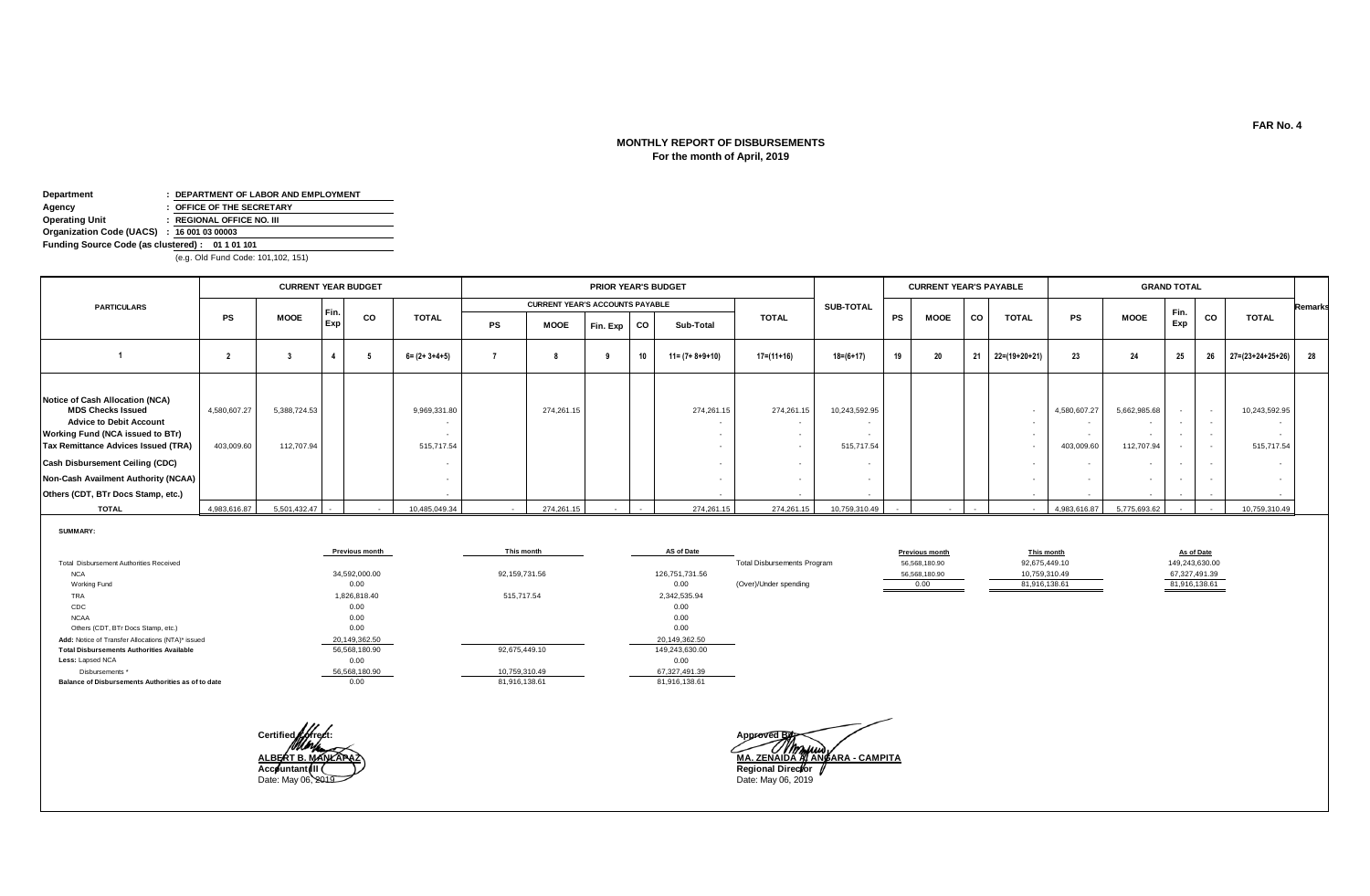# **For the month of April, 2019 MONTHLY REPORT OF DISBURSEMENTS**

| Department                                      | : DEPARTMENT OF LABOR AND EMPLOYMENT |  |  |  |  |  |  |  |  |  |  |
|-------------------------------------------------|--------------------------------------|--|--|--|--|--|--|--|--|--|--|
| Agency                                          | : OFFICE OF THE SECRETARY            |  |  |  |  |  |  |  |  |  |  |
| <b>Operating Unit</b>                           | : REGIONAL OFFICE NO. III            |  |  |  |  |  |  |  |  |  |  |
| Organization Code (UACS) : 16 001 03 00003      |                                      |  |  |  |  |  |  |  |  |  |  |
| Funding Source Code (as clustered): 01 1 01 101 |                                      |  |  |  |  |  |  |  |  |  |  |

(e.g. Old Fund Code: 101,102, 151)

|                                                                                                                                                                                                                                                                                                               |                            | <b>CURRENT YEAR BUDGET</b> |             |        |                            |        |                                        | PRIOR YEAR'S BUDGET |    |                         |                                        |                             |           | <b>CURRENT YEAR'S PAYABLE</b> |        |               |                            |                                      | <b>GRAND TOTAL</b> |                                                                          |                                       |                |
|---------------------------------------------------------------------------------------------------------------------------------------------------------------------------------------------------------------------------------------------------------------------------------------------------------------|----------------------------|----------------------------|-------------|--------|----------------------------|--------|----------------------------------------|---------------------|----|-------------------------|----------------------------------------|-----------------------------|-----------|-------------------------------|--------|---------------|----------------------------|--------------------------------------|--------------------|--------------------------------------------------------------------------|---------------------------------------|----------------|
| <b>PARTICULARS</b>                                                                                                                                                                                                                                                                                            |                            |                            |             |        |                            |        | <b>CURRENT YEAR'S ACCOUNTS PAYABLE</b> |                     |    |                         |                                        | <b>SUB-TOTAL</b>            |           |                               |        |               |                            |                                      |                    |                                                                          |                                       | <b>Remarks</b> |
|                                                                                                                                                                                                                                                                                                               | PS                         | <b>MOOE</b>                | Fin.<br>Exp | CO     | <b>TOTAL</b>               | PS     | <b>MOOE</b>                            | Fin. Exp            | CO | Sub-Total               | <b>TOTAL</b>                           |                             | <b>PS</b> | <b>MOOE</b>                   | CO     | <b>TOTAL</b>  | <b>PS</b>                  | <b>MOOE</b>                          | Fin.<br>Exp        | CO                                                                       | <b>TOTAL</b>                          |                |
|                                                                                                                                                                                                                                                                                                               |                            |                            |             |        | $6 = (2 + 3 + 4 + 5)$      |        |                                        |                     | 10 | $11 = (7 + 8 + 9 + 10)$ | 17=(11+16)                             | 18=(6+17)                   | 19        | 20                            | 21     | 22=(19+20+21) | 23                         | 24                                   | 25                 | 26                                                                       | $27=(23+24+25+26)$ 28                 |                |
| Notice of Cash Allocation (NCA)<br><b>MDS Checks Issued</b><br><b>Advice to Debit Account</b><br><b>Working Fund (NCA issued to BTr)</b><br><b>Tax Remittance Advices Issued (TRA)</b><br>Cash Disbursement Ceiling (CDC)<br><b>Non-Cash Availment Authority (NCAA)</b><br>Others (CDT, BTr Docs Stamp, etc.) | 4,580,607.27<br>403,009.60 | 5,388,724.53<br>112.707.94 |             |        | 9,969,331.80<br>515,717.54 |        | 274,261.15                             |                     |    | 274,261.15              | 274,261.15<br>$\overline{\phantom{a}}$ | 10,243,592.95<br>515,717.54 |           |                               |        | $\sim$        | 4,580,607.27<br>403,009.60 | 5,662,985.68<br>$\sim$<br>112,707.94 |                    | $\overline{\phantom{a}}$<br>$\overline{\phantom{a}}$<br>$\sim$<br>$\sim$ | 10,243,592.95<br>$\sim$<br>515,717.54 |                |
| <b>TOTAL</b>                                                                                                                                                                                                                                                                                                  | 4,983,616.87               | 5,501,432.47               | $\sim$      | $\sim$ | 10,485,049.34              | $\sim$ | 274,261.15                             |                     |    | 274,261.15              | 274,261.15                             | 10,759,310.49               |           |                               | $\sim$ | $\sim$        | 4,983,616.87               | 5,775,693.62                         |                    |                                                                          | 10,759,310.49                         |                |

**SUMMARY:**

|                                                    | <b>Previous month</b> | This month    | AS of Date     |                                    | <b>Previous month</b> | This month    | As of Date     |
|----------------------------------------------------|-----------------------|---------------|----------------|------------------------------------|-----------------------|---------------|----------------|
| Total Disbursement Authorities Received            |                       |               |                | <b>Total Disbursements Program</b> | 56,568,180.90         | 92,675,449.10 | 149,243,630.00 |
| <b>NCA</b>                                         | 34,592,000.00         | 92.159.731.56 | 126,751,731.56 |                                    | 56,568,180.90         | 10,759,310.49 | 67,327,491.39  |
| Working Fund                                       | 0.00                  |               | 0.00           | (Over)/Under spending              | 0.00                  | 81,916,138.61 | 81,916,138.61  |
| TRA                                                | 1,826,818.40          | 515,717.54    | 2,342,535.94   |                                    |                       |               |                |
| CDC                                                | 0.00                  |               | 0.00           |                                    |                       |               |                |
| <b>NCAA</b>                                        | 0.00                  |               | 0.00           |                                    |                       |               |                |
| Others (CDT, BTr Docs Stamp, etc.)                 | 0.00                  |               | 0.00           |                                    |                       |               |                |
| Add: Notice of Transfer Allocations (NTA)* issued  | 20,149,362.50         |               | 20,149,362.50  |                                    |                       |               |                |
| <b>Total Disbursements Authorities Available</b>   | 56,568,180.90         | 92,675,449.10 | 149,243,630.00 |                                    |                       |               |                |
| Less: Lapsed NCA                                   | 0.00                  |               | 0.00           |                                    |                       |               |                |
| Disbursements *                                    | 56,568,180.90         | 10,759,310.49 | 67,327,491.39  |                                    |                       |               |                |
| Balance of Disbursements Authorities as of to date | 0.00                  | 81,916,138.61 | 81,916,138.61  |                                    |                       |               |                |



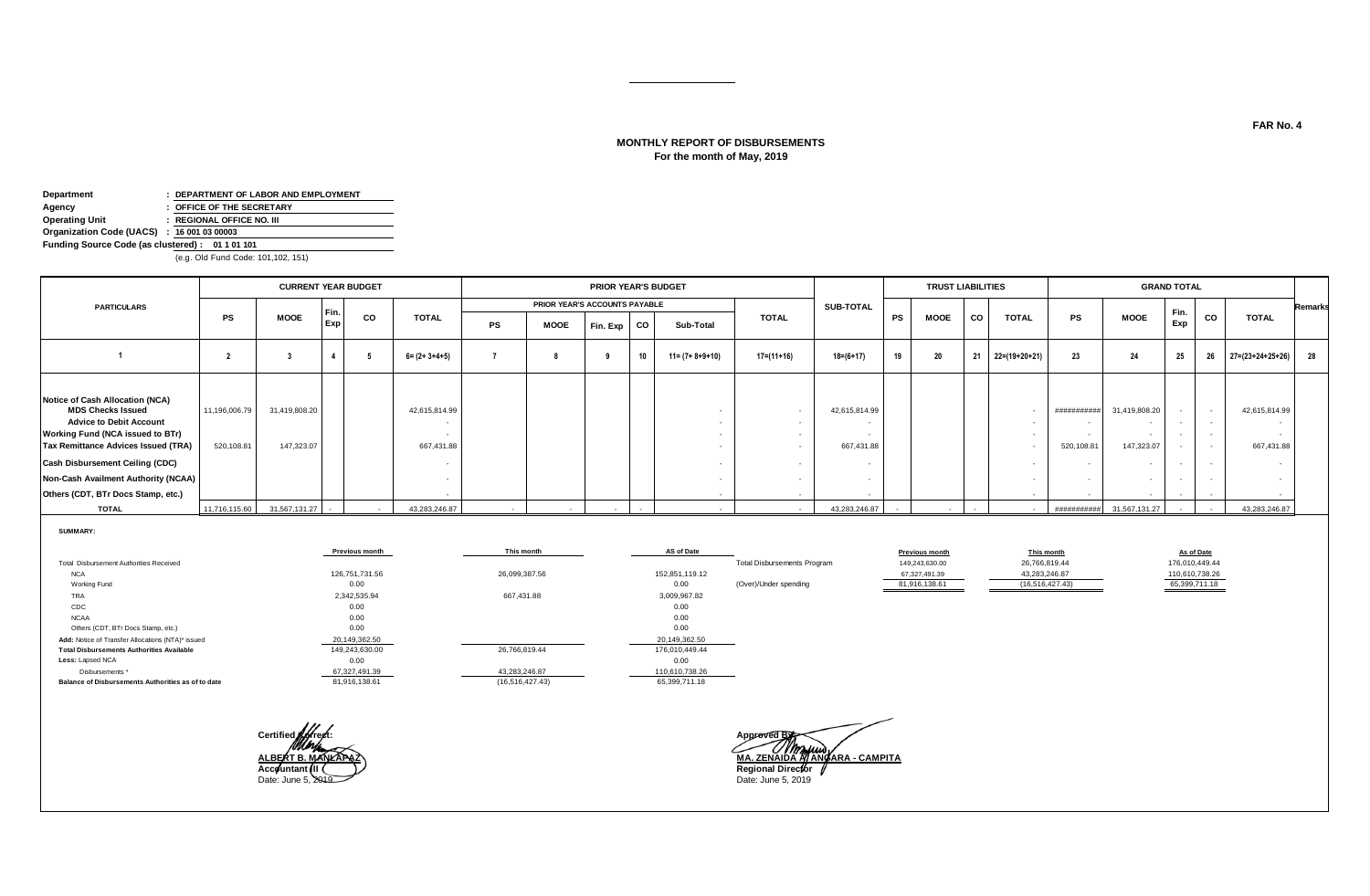# **MONTHLY REPORT OF DISBURSEMENTS For the month of May, 2019**

| Department                                      | : DEPARTMENT OF LABOR AND EMPLOYMENT |  |  |  |  |  |  |  |  |  |  |  |
|-------------------------------------------------|--------------------------------------|--|--|--|--|--|--|--|--|--|--|--|
| Agency                                          | : OFFICE OF THE SECRETARY            |  |  |  |  |  |  |  |  |  |  |  |
| <b>Operating Unit</b>                           | : REGIONAL OFFICE NO. III            |  |  |  |  |  |  |  |  |  |  |  |
| Organization Code (UACS) : 16 001 03 00003      |                                      |  |  |  |  |  |  |  |  |  |  |  |
| Funding Source Code (as clustered): 01 1 01 101 |                                      |  |  |  |  |  |  |  |  |  |  |  |
|                                                 |                                      |  |  |  |  |  |  |  |  |  |  |  |

(e.g. Old Fund Code: 101,102, 151)

| PRIOR YEAR'S ACCOUNTS PAYABLE<br><b>PARTICULARS</b><br>SUB-TOTAL<br>Fin.<br>Fin.<br>co<br>CO<br><b>PS</b><br><b>CO</b><br><b>TOTAL</b><br><b>PS</b><br><b>MOOE</b><br><b>TOTAL</b><br><b>MOOE</b><br><b>TOTAL</b><br>PS<br>MOOE<br><b>TOTAL</b><br>Exp<br>Exp<br>Fin. Exp<br>CO<br>PS<br><b>MOOE</b><br>Sub-Total<br>20<br>23<br>$27=(23+24+25+26)$ 28<br>21<br>25<br>19<br>22=(19+20+21)<br>24<br>26<br>$6 = (2 + 3 + 4 + 5)$<br>$11 = (7 + 8 + 9 + 10)$<br>17=(11+16)<br>18=(6+17)<br>10<br>Notice of Cash Allocation (NCA)<br><b>MDS Checks Issued</b><br>42,615,814.99<br>11,196,006.79<br>31,419,808.20<br>42,615,814.99<br>42,615,814.99<br>31,419,808.20<br>##########<br><b>Advice to Debit Account</b><br><b>Working Fund (NCA issued to BTr)</b><br>$\sim$<br>$\sim$<br>520,108.81<br><b>Tax Remittance Advices Issued (TRA)</b><br>147,323.07<br>667,431.88<br>667,431.88<br>147,323.07<br>667,431.88<br>520,108.81<br>$\sim$<br>$\sim$<br>Cash Disbursement Ceiling (CDC)<br><b>Non-Cash Availment Authority (NCAA)</b><br>$\sim$<br>Others (CDT, BTr Docs Stamp, etc.)<br>. . | <b>CURRENT YEAR BUDGET</b> |  |  |  |  |  |  |  | PRIOR YEAR'S BUDGET |  | <b>TRUST LIABILITIES</b> |  |  | <b>GRAND TOTAL</b> |  |                |
|--------------------------------------------------------------------------------------------------------------------------------------------------------------------------------------------------------------------------------------------------------------------------------------------------------------------------------------------------------------------------------------------------------------------------------------------------------------------------------------------------------------------------------------------------------------------------------------------------------------------------------------------------------------------------------------------------------------------------------------------------------------------------------------------------------------------------------------------------------------------------------------------------------------------------------------------------------------------------------------------------------------------------------------------------------------------------------------------|----------------------------|--|--|--|--|--|--|--|---------------------|--|--------------------------|--|--|--------------------|--|----------------|
|                                                                                                                                                                                                                                                                                                                                                                                                                                                                                                                                                                                                                                                                                                                                                                                                                                                                                                                                                                                                                                                                                            |                            |  |  |  |  |  |  |  |                     |  |                          |  |  |                    |  | <b>Remarks</b> |
|                                                                                                                                                                                                                                                                                                                                                                                                                                                                                                                                                                                                                                                                                                                                                                                                                                                                                                                                                                                                                                                                                            |                            |  |  |  |  |  |  |  |                     |  |                          |  |  |                    |  |                |
|                                                                                                                                                                                                                                                                                                                                                                                                                                                                                                                                                                                                                                                                                                                                                                                                                                                                                                                                                                                                                                                                                            |                            |  |  |  |  |  |  |  |                     |  |                          |  |  |                    |  |                |
| <b>TOTAL</b><br>11,716,115.60 31,567,131.27<br>43,283,246.87<br>43,283,246.87<br>43,283,246.87<br>31,567,131.27<br>###########<br>$\sim$<br>$\overline{\phantom{a}}$                                                                                                                                                                                                                                                                                                                                                                                                                                                                                                                                                                                                                                                                                                                                                                                                                                                                                                                       |                            |  |  |  |  |  |  |  |                     |  |                          |  |  |                    |  |                |

**SUMMARY:**

|                                                    | <b>Previous month</b> | This month        | AS of Date     |                                    | <b>Previous month</b> | This month      | As of Date     |
|----------------------------------------------------|-----------------------|-------------------|----------------|------------------------------------|-----------------------|-----------------|----------------|
| Total Disbursement Authorities Received            |                       |                   |                | <b>Total Disbursements Program</b> | 149,243,630.00        | 26,766,819.44   | 176,010,449.44 |
| <b>NCA</b>                                         | 126,751,731.56        | 26,099,387.56     | 152,851,119.12 |                                    | 67,327,491.39         | 43,283,246.87   | 110,610,738.26 |
| Working Fund                                       | 0.00                  |                   | 0.00           | (Over)/Under spending              | 81,916,138.61         | (16,516,427.43) | 65,399,711.18  |
| TRA                                                | 2,342,535.94          | 667,431.88        | 3,009,967.82   |                                    |                       |                 |                |
| CDC                                                | 0.00                  |                   | 0.00           |                                    |                       |                 |                |
| <b>NCAA</b>                                        | 0.00                  |                   | 0.00           |                                    |                       |                 |                |
| Others (CDT, BTr Docs Stamp, etc.)                 | 0.00                  |                   | 0.00           |                                    |                       |                 |                |
| Add: Notice of Transfer Allocations (NTA)* issued  | 20,149,362.50         |                   | 20,149,362.50  |                                    |                       |                 |                |
| <b>Total Disbursements Authorities Available</b>   | 149,243,630.00        | 26,766,819.44     | 176.010.449.44 |                                    |                       |                 |                |
| Less: Lapsed NCA                                   | 0.00                  |                   | 0.00           |                                    |                       |                 |                |
| Disbursements *                                    | 67,327,491.39         | 43,283,246.87     | 110,610,738.26 |                                    |                       |                 |                |
| Balance of Disbursements Authorities as of to date | 81,916,138.61         | (16, 516, 427.43) | 65,399,711.18  |                                    |                       |                 |                |



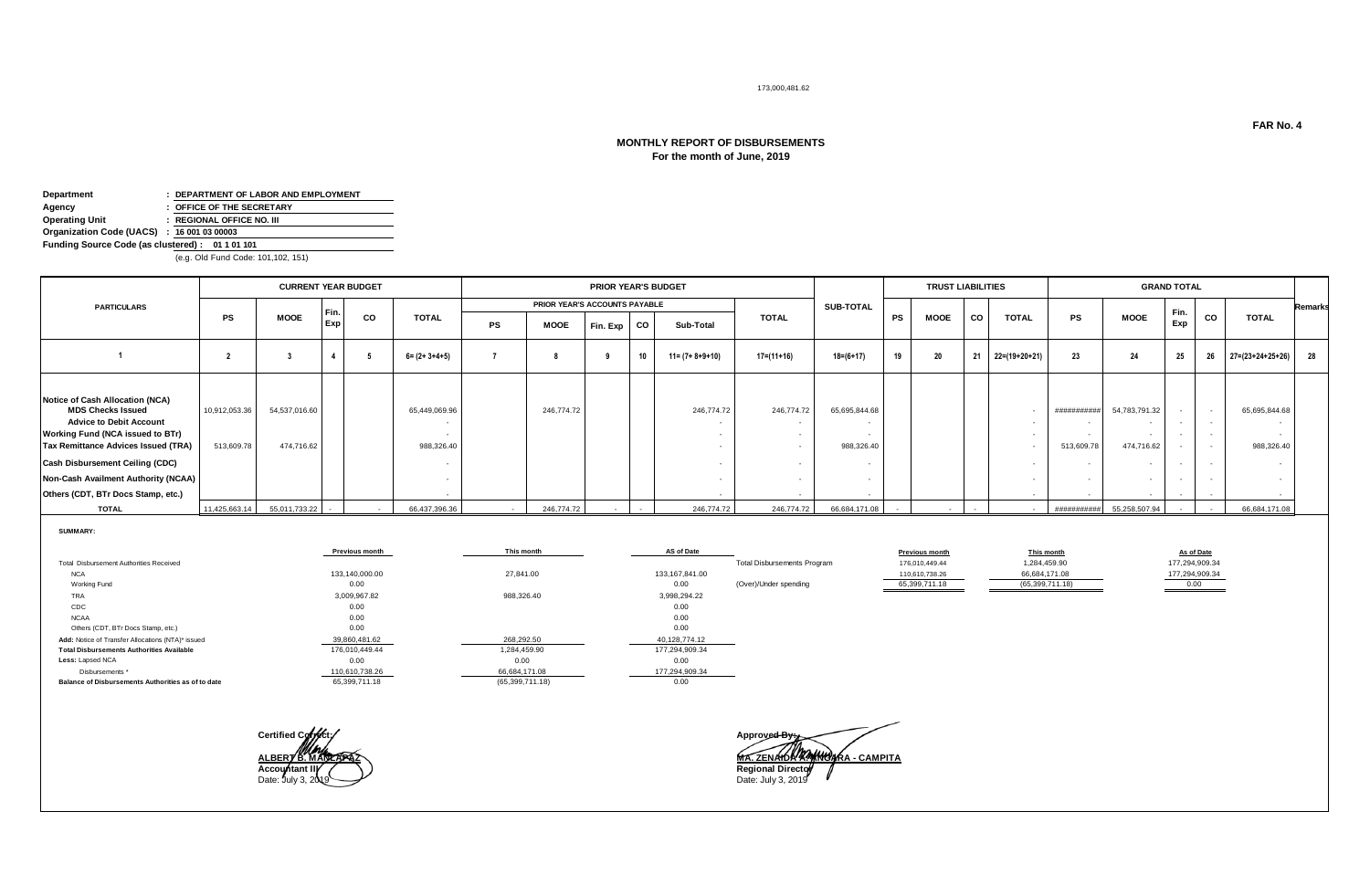#### 173,000,481.62

# **MONTHLY REPORT OF DISBURSEMENTS For the month of June, 2019**

| Department                                      | : DEPARTMENT OF LABOR AND EMPLOYMENT |
|-------------------------------------------------|--------------------------------------|
| Agency                                          | : OFFICE OF THE SECRETARY            |
| <b>Operating Unit</b>                           | : REGIONAL OFFICE NO. III            |
| Organization Code (UACS) : 16 001 03 00003      |                                      |
| Funding Source Code (as clustered): 01 1 01 101 |                                      |
|                                                 |                                      |

(e.g. Old Fund Code: 101,102, 151)

|                                                                                                                                                                                                                                                                                          |                             | <b>CURRENT YEAR BUDGET</b>  |        |        |                             |    |                               | <b>PRIOR YEAR'S BUDGET</b> |           |                         |              |                             |           | <b>TRUST LIABILITIES</b> |        |               |                          |                                              | <b>GRAND TOTAL</b> |                              |                                       |                |
|------------------------------------------------------------------------------------------------------------------------------------------------------------------------------------------------------------------------------------------------------------------------------------------|-----------------------------|-----------------------------|--------|--------|-----------------------------|----|-------------------------------|----------------------------|-----------|-------------------------|--------------|-----------------------------|-----------|--------------------------|--------|---------------|--------------------------|----------------------------------------------|--------------------|------------------------------|---------------------------------------|----------------|
| <b>PARTICULARS</b>                                                                                                                                                                                                                                                                       |                             |                             | Fin.   |        |                             |    | PRIOR YEAR'S ACCOUNTS PAYABLE |                            |           |                         |              | <b>SUB-TOTAL</b>            |           |                          |        |               |                          |                                              | Fin.               |                              |                                       | <b>Remarks</b> |
|                                                                                                                                                                                                                                                                                          | <b>PS</b>                   | <b>MOOE</b>                 | Exp    | CO     | <b>TOTAL</b>                | PS | MOOE                          | Fin. Exp                   | <b>CO</b> | Sub-Total               | <b>TOTAL</b> |                             | <b>PS</b> | <b>MOOE</b>              | CO     | <b>TOTAL</b>  | PS                       | <b>MOOE</b>                                  | Exp                | CO                           | <b>TOTAL</b>                          |                |
|                                                                                                                                                                                                                                                                                          |                             |                             |        |        | $6 = (2 + 3 + 4 + 5)$       |    |                               |                            | 10        | $11 = (7 + 8 + 9 + 10)$ | $17=(11+16)$ | $18 = (6 + 17)$             | 19        | 20                       | 21     | 22=(19+20+21) | 23                       | 24                                           | 25                 | 26                           | $27 = (23 + 24 + 25 + 26)$ 28         |                |
| Notice of Cash Allocation (NCA)<br><b>MDS Checks Issued</b><br><b>Advice to Debit Account</b><br>Working Fund (NCA issued to BTr)<br>Tax Remittance Advices Issued (TRA)<br>Cash Disbursement Ceiling (CDC)<br>Non-Cash Availment Authority (NCAA)<br>Others (CDT, BTr Docs Stamp, etc.) | 10,912,053.36<br>513,609.78 | 54,537,016.60<br>474.716.62 |        |        | 65,449,069.96<br>988,326.40 |    | 246,774.72                    |                            |           | 246,774.72              | 246,774.72   | 65,695,844.68<br>988,326.40 |           |                          |        |               | ##########<br>513,609.78 | 54,783,791.32<br>. .<br>$\sim$<br>474,716.62 |                    | <b>.</b><br>$\sim$<br>$\sim$ | 65,695,844.68<br>$\sim$<br>988,326.40 |                |
| <b>TOTAL</b>                                                                                                                                                                                                                                                                             | 11,425,663.14               | 55,011,733.22               | $\sim$ | $\sim$ | 66,437,396.36               |    | 246,774.72                    |                            |           | 246,774.72              | 246,774,72   | 66.684.171.08               |           | $\sim$                   | $\sim$ |               | ###########              | 55,258,507.94                                |                    |                              | 66,684,171.08                         |                |

**SUMMARY:**

|                                                    | <b>Previous month</b> | This month      | AS of Date       |                                    | <b>Previous month</b> | This month      | As of Date     |
|----------------------------------------------------|-----------------------|-----------------|------------------|------------------------------------|-----------------------|-----------------|----------------|
| Total Disbursement Authorities Received            |                       |                 |                  | <b>Total Disbursements Program</b> | 176,010,449.44        | 1,284,459.90    | 177,294,909.34 |
| <b>NCA</b>                                         | 133.140.000.00        | 27,841.00       | 133, 167, 841.00 |                                    | 110,610,738.26        | 66,684,171.08   | 177,294,909.34 |
| Working Fund                                       | 0.00                  |                 | 0.00             | (Over)/Under spending              | 65,399,711.18         | (65,399,711.18) | 0.00           |
| TRA                                                | 3,009,967.82          | 988,326.40      | 3,998,294.22     |                                    |                       |                 |                |
| CDC                                                | 0.00                  |                 | 0.00             |                                    |                       |                 |                |
| <b>NCAA</b>                                        | 0.00                  |                 | 0.00             |                                    |                       |                 |                |
| Others (CDT, BTr Docs Stamp, etc.)                 | 0.00                  |                 | 0.00             |                                    |                       |                 |                |
| Add: Notice of Transfer Allocations (NTA)* issued  | 39,860,481.62         | 268.292.50      | 40,128,774.12    |                                    |                       |                 |                |
| <b>Total Disbursements Authorities Available</b>   | 176,010,449.44        | 1,284,459.90    | 177,294,909.34   |                                    |                       |                 |                |
| Less: Lapsed NCA                                   | 0.00                  | 0.00            | 0.00             |                                    |                       |                 |                |
| Disbursements *                                    | 110,610,738.26        | 66,684,171.08   | 177,294,909.34   |                                    |                       |                 |                |
| Balance of Disbursements Authorities as of to date | 65,399,711.18         | (65,399,711.18) | 0.00             |                                    |                       |                 |                |



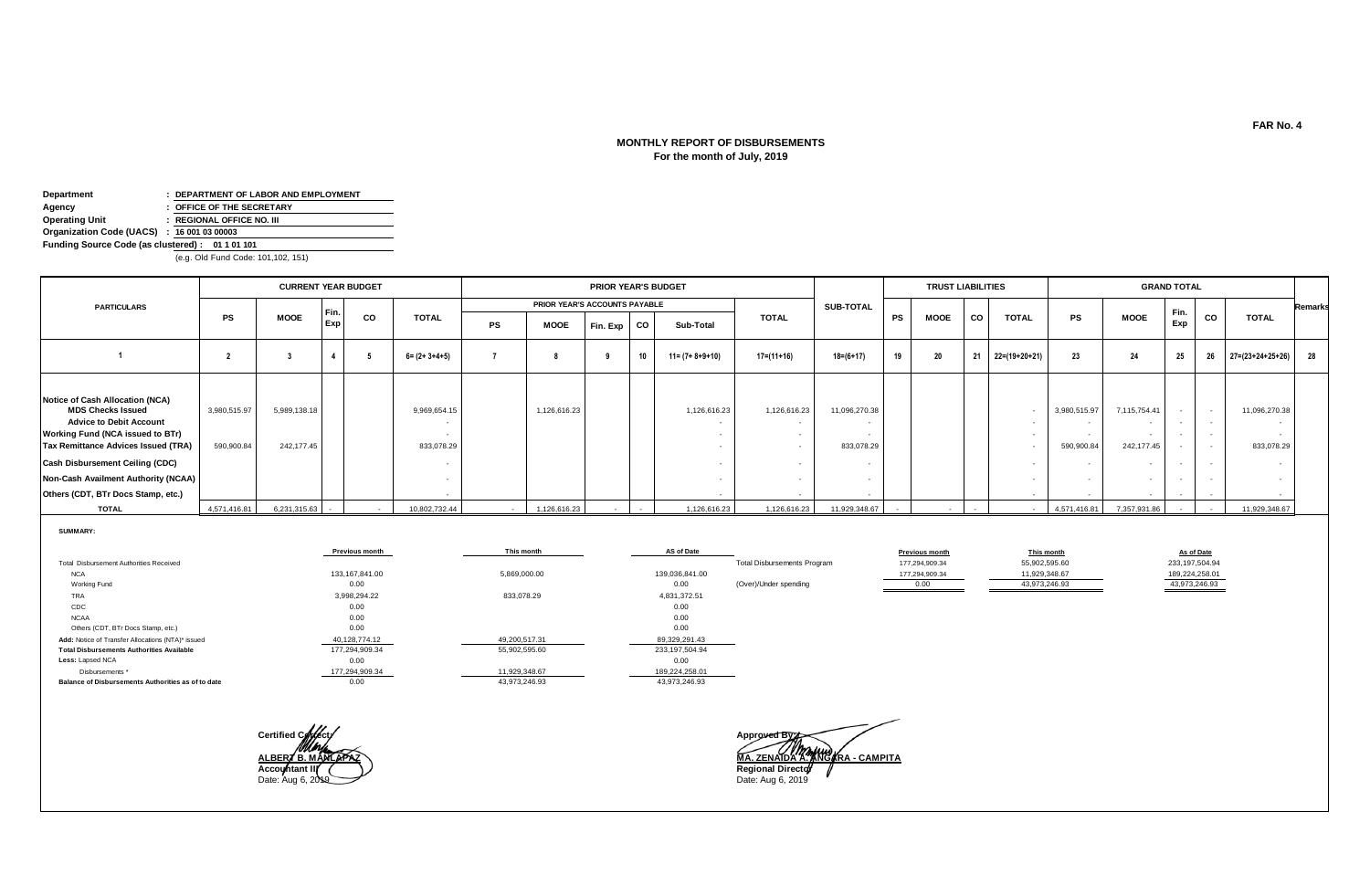# **For the month of July, 2019 MONTHLY REPORT OF DISBURSEMENTS**

| Department                                      | : DEPARTMENT OF LABOR AND EMPLOYMENT |
|-------------------------------------------------|--------------------------------------|
| Agency                                          | : OFFICE OF THE SECRETARY            |
| <b>Operating Unit</b>                           | : REGIONAL OFFICE NO. III            |
| Organization Code (UACS) : 16 001 03 00003      |                                      |
| Funding Source Code (as clustered): 01 1 01 101 |                                      |

(e.g. Old Fund Code: 101,102, 151)

|                                                                                                                                                                                                                                                                                                 |                            | <b>CURRENT YEAR BUDGET</b> |      |           |                            | <b>PRIOR YEAR'S BUDGET</b> |                               |          |           |                         |              |                             |           | <b>TRUST LIABILITIES</b> |        |               |                            |                                                | <b>GRAND TOTAL</b> |                  |                                       |                |
|-------------------------------------------------------------------------------------------------------------------------------------------------------------------------------------------------------------------------------------------------------------------------------------------------|----------------------------|----------------------------|------|-----------|----------------------------|----------------------------|-------------------------------|----------|-----------|-------------------------|--------------|-----------------------------|-----------|--------------------------|--------|---------------|----------------------------|------------------------------------------------|--------------------|------------------|---------------------------------------|----------------|
| <b>PARTICULARS</b>                                                                                                                                                                                                                                                                              |                            |                            | Fin. |           |                            |                            | PRIOR YEAR'S ACCOUNTS PAYABLE |          |           |                         |              | <b>SUB-TOTAL</b>            |           |                          |        |               |                            |                                                |                    |                  |                                       | <b>Remarks</b> |
|                                                                                                                                                                                                                                                                                                 | <b>PS</b>                  | <b>MOOE</b>                | Exp  | <b>CO</b> | <b>TOTAL</b>               | <b>PS</b>                  | MOOE                          | Fin. Exp | <b>CO</b> | Sub-Total               | <b>TOTAL</b> |                             | <b>PS</b> | <b>MOOE</b>              | CO     | <b>TOTAL</b>  | PS                         | <b>MOOE</b>                                    | Fin.<br>Exp        | CO               | <b>TOTAL</b>                          |                |
|                                                                                                                                                                                                                                                                                                 |                            |                            |      |           | $6 = (2 + 3 + 4 + 5)$      |                            |                               |          | 10        | $11 = (7 + 8 + 9 + 10)$ | $17=(11+16)$ | $18 = (6 + 17)$             | 19        | 20                       | 21     | 22=(19+20+21) | 23                         | 24                                             | 25                 | 26               | $27 = (23 + 24 + 25 + 26)$ 28         |                |
| Notice of Cash Allocation (NCA)<br><b>MDS Checks Issued</b><br><b>Advice to Debit Account</b><br>Working Fund (NCA issued to BTr)<br><b>Tax Remittance Advices Issued (TRA)</b><br>Cash Disbursement Ceiling (CDC)<br>Non-Cash Availment Authority (NCAA)<br>Others (CDT, BTr Docs Stamp, etc.) | 3,980,515.97<br>590,900.84 | 5,989,138.18<br>242.177.45 |      |           | 9,969,654.15<br>833,078.29 |                            | 1,126,616.23                  |          |           | 1,126,616.23            | 1,126,616.23 | 11,096,270.38<br>833,078.29 |           |                          |        | $\sim$        | 3,980,515.97<br>590,900.84 | 7,115,754.41<br>$\sim$<br>242,177.45<br>$\sim$ |                    | $\sim$<br>$\sim$ | 11,096,270.38<br>$\sim$<br>833,078.29 |                |
| <b>TOTAL</b>                                                                                                                                                                                                                                                                                    | 4,571,416.81               | 6,231,315.63               |      |           | 10,802,732.44              |                            | 1,126,616.23                  |          |           | 1,126,616.23            |              | 1,126,616.23 11,929,348.67  |           |                          | $\sim$ | $\sim$        | 4,571,416.81               | 7,357,931.86                                   |                    |                  | 11,929,348.67                         |                |

**SUMMARY:**

|                                                    | <b>Previous month</b> | This month    | AS of Date        |                                    | <b>Previous month</b> | This month    | As of Date     |
|----------------------------------------------------|-----------------------|---------------|-------------------|------------------------------------|-----------------------|---------------|----------------|
| Total Disbursement Authorities Received            |                       |               |                   | <b>Total Disbursements Program</b> | 177,294,909.34        | 55,902,595.60 | 233,197,504.94 |
| <b>NCA</b>                                         | 133.167.841.00        | 5,869,000.00  | 139,036,841.00    |                                    | 177,294,909.34        | 11,929,348.67 | 189,224,258.01 |
| Working Fund                                       | 0.00                  |               | 0.00              | (Over)/Under spending              | 0.00                  | 43,973,246.93 | 43,973,246.93  |
| <b>TRA</b>                                         | 3,998,294.22          | 833,078.29    | 4,831,372.51      |                                    |                       |               |                |
| CDC                                                | 0.00                  |               | 0.00              |                                    |                       |               |                |
| <b>NCAA</b>                                        | 0.00                  |               | 0.00              |                                    |                       |               |                |
| Others (CDT, BTr Docs Stamp, etc.)                 | 0.00                  |               | 0.00              |                                    |                       |               |                |
| Add: Notice of Transfer Allocations (NTA)* issued  | 40,128,774.12         | 49.200.517.31 | 89,329,291.43     |                                    |                       |               |                |
| <b>Total Disbursements Authorities Available</b>   | 177,294,909.34        | 55,902,595.60 | 233, 197, 504. 94 |                                    |                       |               |                |
| Less: Lapsed NCA                                   | 0.00                  |               | 0.00              |                                    |                       |               |                |
| Disbursements *                                    | 177,294,909.34        | 11,929,348.67 | 189,224,258.01    |                                    |                       |               |                |
| Balance of Disbursements Authorities as of to date | 0.00                  | 43,973,246.93 | 43,973,246.93     |                                    |                       |               |                |



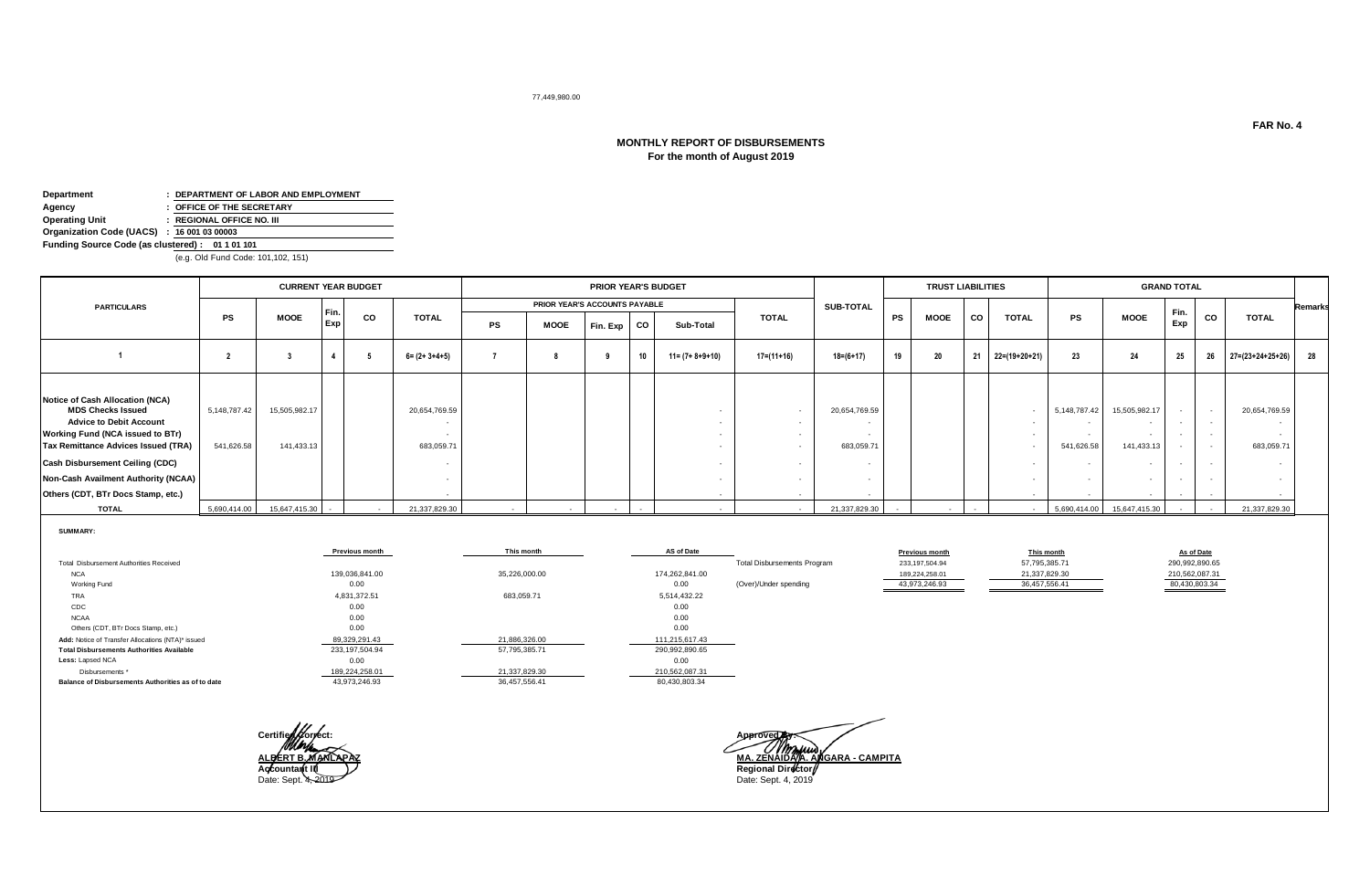#### 77,449,980.00

# **MONTHLY REPORT OF DISBURSEMENTS For the month of August 2019**

| Department                                      | : DEPARTMENT OF LABOR AND EMPLOYMENT |
|-------------------------------------------------|--------------------------------------|
| Agency                                          | : OFFICE OF THE SECRETARY            |
| <b>Operating Unit</b>                           | : REGIONAL OFFICE NO. III            |
| Organization Code (UACS) : 16 001 03 00003      |                                      |
| Funding Source Code (as clustered): 01 1 01 101 |                                      |

(e.g. Old Fund Code: 101,102, 151)

|                                                                                                                                                                                                                                                                                                        |                            | <b>CURRENT YEAR BUDGET</b>  |      |        |                             | PRIOR YEAR'S BUDGET |                               |          |           |                         |              |                             |           | <b>TRUST LIABILITIES</b> |    |                 |                            |                                              | <b>GRAND TOTAL</b> |                  |                             |                |
|--------------------------------------------------------------------------------------------------------------------------------------------------------------------------------------------------------------------------------------------------------------------------------------------------------|----------------------------|-----------------------------|------|--------|-----------------------------|---------------------|-------------------------------|----------|-----------|-------------------------|--------------|-----------------------------|-----------|--------------------------|----|-----------------|----------------------------|----------------------------------------------|--------------------|------------------|-----------------------------|----------------|
| <b>PARTICULARS</b>                                                                                                                                                                                                                                                                                     |                            |                             | Fin. |        |                             |                     | PRIOR YEAR'S ACCOUNTS PAYABLE |          |           |                         |              | <b>SUB-TOTAL</b>            |           |                          |    |                 |                            |                                              | Fin.               |                  |                             | <b>Remarks</b> |
|                                                                                                                                                                                                                                                                                                        | <b>PS</b>                  | <b>MOOE</b>                 | Exp  | CO     | <b>TOTAL</b>                | PS                  | MOOE                          | Fin. Exp | <b>CO</b> | Sub-Total               | <b>TOTAL</b> |                             | <b>PS</b> | <b>MOOE</b>              | co | <b>TOTAL</b>    | PS                         | <b>MOOE</b>                                  | Exp                | <b>CO</b>        | <b>TOTAL</b>                |                |
|                                                                                                                                                                                                                                                                                                        |                            |                             |      |        | $6 = (2 + 3 + 4 + 5)$       |                     |                               |          | 10        | $11 = (7 + 8 + 9 + 10)$ | 17=(11+16)   | $18 = (6 + 17)$             | 19        | 20                       | 21 | $22=(19+20+21)$ | 23                         | 24                                           | 25                 |                  | 26 27=(23+24+25+26) 28      |                |
| Notice of Cash Allocation (NCA)<br><b>MDS Checks Issued</b><br><b>Advice to Debit Account</b><br><b>Working Fund (NCA issued to BTr)</b><br><b>Tax Remittance Advices Issued (TRA)</b><br>Cash Disbursement Ceiling (CDC)<br>Non-Cash Availment Authority (NCAA)<br>Others (CDT, BTr Docs Stamp, etc.) | 5,148,787.42<br>541,626.58 | 15,505,982.17<br>141,433.13 |      |        | 20,654,769.59<br>683,059.71 |                     |                               |          |           | . .                     |              | 20,654,769.59<br>683,059.71 |           |                          |    |                 | 5,148,787.42<br>541,626.58 | 15,505,982.17<br>141,433.13<br>. .<br>$\sim$ |                    | $\sim$<br>$\sim$ | 20,654,769.59<br>683,059.71 |                |
| <b>TOTAL</b>                                                                                                                                                                                                                                                                                           | 5,690,414.00               | 15,647,415.30               |      | $\sim$ | 21,337,829.30               |                     |                               | $\sim$   |           |                         |              | 21,337,829.30               |           | $\sim$                   |    |                 | 5,690,414.00               | 15,647,415.30                                |                    | $\sim$           | 21,337,829.30               |                |

|                                                    | Previous month | This month    | AS of Date     |                                    | <b>Previous month</b> | This month    | As of Date     |
|----------------------------------------------------|----------------|---------------|----------------|------------------------------------|-----------------------|---------------|----------------|
| Total Disbursement Authorities Received            |                |               |                | <b>Total Disbursements Program</b> | 233,197,504.94        | 57,795,385.71 | 290,992,890.65 |
| <b>NCA</b>                                         | 139,036,841.00 | 35,226,000.00 | 174,262,841.00 |                                    | 189,224,258.01        | 21,337,829.30 | 210,562,087.31 |
| Working Fund                                       | 0.00           |               | 0.00           | (Over)/Under spending              | 43,973,246.93         | 36,457,556.41 | 80,430,803.34  |
| TRA                                                | 4,831,372.51   | 683,059.71    | 5,514,432.22   |                                    |                       |               |                |
| CDC                                                | 0.00           |               | 0.00           |                                    |                       |               |                |
| <b>NCAA</b>                                        | 0.00           |               | 0.00           |                                    |                       |               |                |
| Others (CDT, BTr Docs Stamp, etc.)                 | 0.00           |               | 0.00           |                                    |                       |               |                |
| Add: Notice of Transfer Allocations (NTA)* issued  | 89,329,291.43  | 21,886,326.00 | 111,215,617.43 |                                    |                       |               |                |
| <b>Total Disbursements Authorities Available</b>   | 233,197,504.94 | 57,795,385.71 | 290,992,890.65 |                                    |                       |               |                |
| Less: Lapsed NCA                                   | 0.00           |               | 0.00           |                                    |                       |               |                |
| Disbursements *                                    | 189,224,258.01 | 21,337,829.30 | 210,562,087.31 |                                    |                       |               |                |
| Balance of Disbursements Authorities as of to date | 43,973,246.93  | 36,457,556.41 | 80,430,803.34  |                                    |                       |               |                |



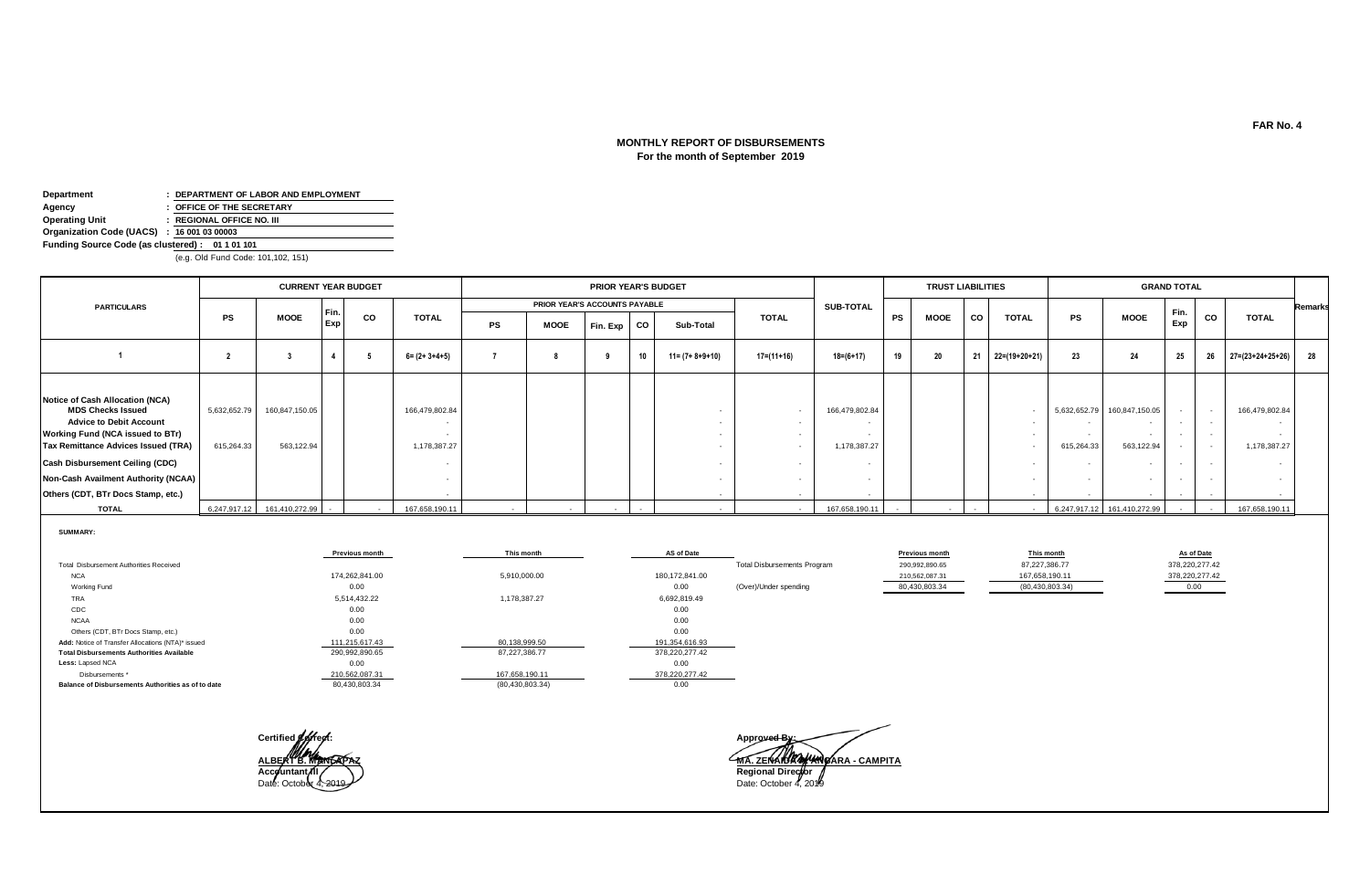# **MONTHLY REPORT OF DISBURSEMENTS For the month of September 2019**

| Department                                      | : DEPARTMENT OF LABOR AND EMPLOYMENT |
|-------------------------------------------------|--------------------------------------|
| Agency                                          | : OFFICE OF THE SECRETARY            |
| <b>Operating Unit</b>                           | : REGIONAL OFFICE NO. III            |
| Organization Code (UACS) : 16 001 03 00003      |                                      |
| Funding Source Code (as clustered): 01 1 01 101 |                                      |
|                                                 |                                      |

(e.g. Old Fund Code: 101,102, 151)

|                                                                                                                                                                                                                                                                                                        |                            | <b>CURRENT YEAR BUDGET</b>   |      |                  |                                | PRIOR YEAR'S BUDGET |                               |                          |    |                         |              |                                | <b>TRUST LIABILITIES</b> |      |        |               |                            | <b>GRAND TOTAL</b>                               |      |        |                                |                |
|--------------------------------------------------------------------------------------------------------------------------------------------------------------------------------------------------------------------------------------------------------------------------------------------------------|----------------------------|------------------------------|------|------------------|--------------------------------|---------------------|-------------------------------|--------------------------|----|-------------------------|--------------|--------------------------------|--------------------------|------|--------|---------------|----------------------------|--------------------------------------------------|------|--------|--------------------------------|----------------|
| <b>PARTICULARS</b>                                                                                                                                                                                                                                                                                     |                            |                              | Fin. |                  |                                |                     | PRIOR YEAR'S ACCOUNTS PAYABLE |                          |    |                         |              | SUB-TOTAL                      |                          |      |        |               |                            |                                                  | Fin. |        |                                | <b>Remarks</b> |
|                                                                                                                                                                                                                                                                                                        | PS                         | <b>MOOE</b>                  | Exp  | <b>CO</b>        | <b>TOTAL</b>                   | PS                  | <b>MOOE</b>                   | Fin. Exp                 | CO | Sub-Total               | <b>TOTAL</b> |                                | PS                       | MOOE | co     | <b>TOTAL</b>  | <b>PS</b>                  | <b>MOOE</b>                                      | Exp  | CO     | <b>TOTAL</b>                   |                |
|                                                                                                                                                                                                                                                                                                        |                            |                              |      |                  | $6 = (2 + 3 + 4 + 5)$          |                     |                               |                          | 10 | $11 = (7 + 8 + 9 + 10)$ | 17=(11+16)   | 18=(6+17)                      | 19                       | 20   | 21     | 22=(19+20+21) | 23                         | 24                                               | 25   | 26     | $27=(23+24+25+26)$ 28          |                |
| Notice of Cash Allocation (NCA)<br><b>MDS Checks Issued</b><br><b>Advice to Debit Account</b><br><b>Working Fund (NCA issued to BTr)</b><br><b>Tax Remittance Advices Issued (TRA)</b><br>Cash Disbursement Ceiling (CDC)<br>Non-Cash Availment Authority (NCAA)<br>Others (CDT, BTr Docs Stamp, etc.) | 5,632,652.79<br>615,264.33 | 160,847,150.05<br>563,122.94 |      |                  | 166,479,802.84<br>1,178,387.27 |                     |                               |                          |    |                         |              | 166,479,802.84<br>1,178,387.27 |                          |      |        | $\sim$        | 5,632,652.79<br>615,264.33 | 160,847,150.05<br>$\sim$<br>563,122.94<br>$\sim$ |      | $\sim$ | 166,479,802.84<br>1,178,387.27 |                |
| <b>TOTAL</b>                                                                                                                                                                                                                                                                                           |                            | 6,247,917.12 161,410,272.99  |      | $\sim$ 100 $\mu$ | 167,658,190.11                 |                     |                               | $\overline{\phantom{a}}$ |    |                         |              | 167,658,190.11                 |                          |      | $\sim$ |               |                            | 6,247,917.12 161,410,272.99                      |      |        | 167,658,190.11                 |                |

|                                                    | <b>Previous month</b> | This month        | AS of Date     |                                    | <b>Previous month</b> | This month        | As of Date     |
|----------------------------------------------------|-----------------------|-------------------|----------------|------------------------------------|-----------------------|-------------------|----------------|
| Total Disbursement Authorities Received            |                       |                   |                | <b>Total Disbursements Program</b> | 290,992,890.65        | 87,227,386.77     | 378,220,277.42 |
|                                                    |                       |                   |                |                                    |                       |                   |                |
| <b>NCA</b>                                         | 174.262.841.00        | 5,910,000.00      | 180,172,841.00 |                                    | 210,562,087.31        | 167,658,190.11    | 378,220,277.42 |
| Working Fund                                       | 0.00                  |                   | 0.00           | (Over)/Under spending              | 80,430,803.34         | (80, 430, 803.34) | $-0.00$        |
| TRA                                                | 5,514,432.22          | 1,178,387.27      | 6,692,819.49   |                                    |                       |                   |                |
| CDC                                                | 0.00                  |                   | 0.00           |                                    |                       |                   |                |
| <b>NCAA</b>                                        | 0.00                  |                   | 0.00           |                                    |                       |                   |                |
| Others (CDT, BTr Docs Stamp, etc.)                 | 0.00                  |                   | 0.00           |                                    |                       |                   |                |
| Add: Notice of Transfer Allocations (NTA)* issued  | 111,215,617.43        | 80,138,999.50     | 191,354,616.93 |                                    |                       |                   |                |
| <b>Total Disbursements Authorities Available</b>   | 290,992,890.65        | 87,227,386.77     | 378,220,277.42 |                                    |                       |                   |                |
| Less: Lapsed NCA                                   | 0.00                  |                   | 0.00           |                                    |                       |                   |                |
| Disbursements <sup>*</sup>                         | 210,562,087.31        | 167,658,190.11    | 378,220,277.42 |                                    |                       |                   |                |
| Balance of Disbursements Authorities as of to date | 80.430.803.34         | (80, 430, 803.34) | 0.00           |                                    |                       |                   |                |



<u>MA. ZENAHRAH WARA - CAMPITA</u>

**FAR No. 4**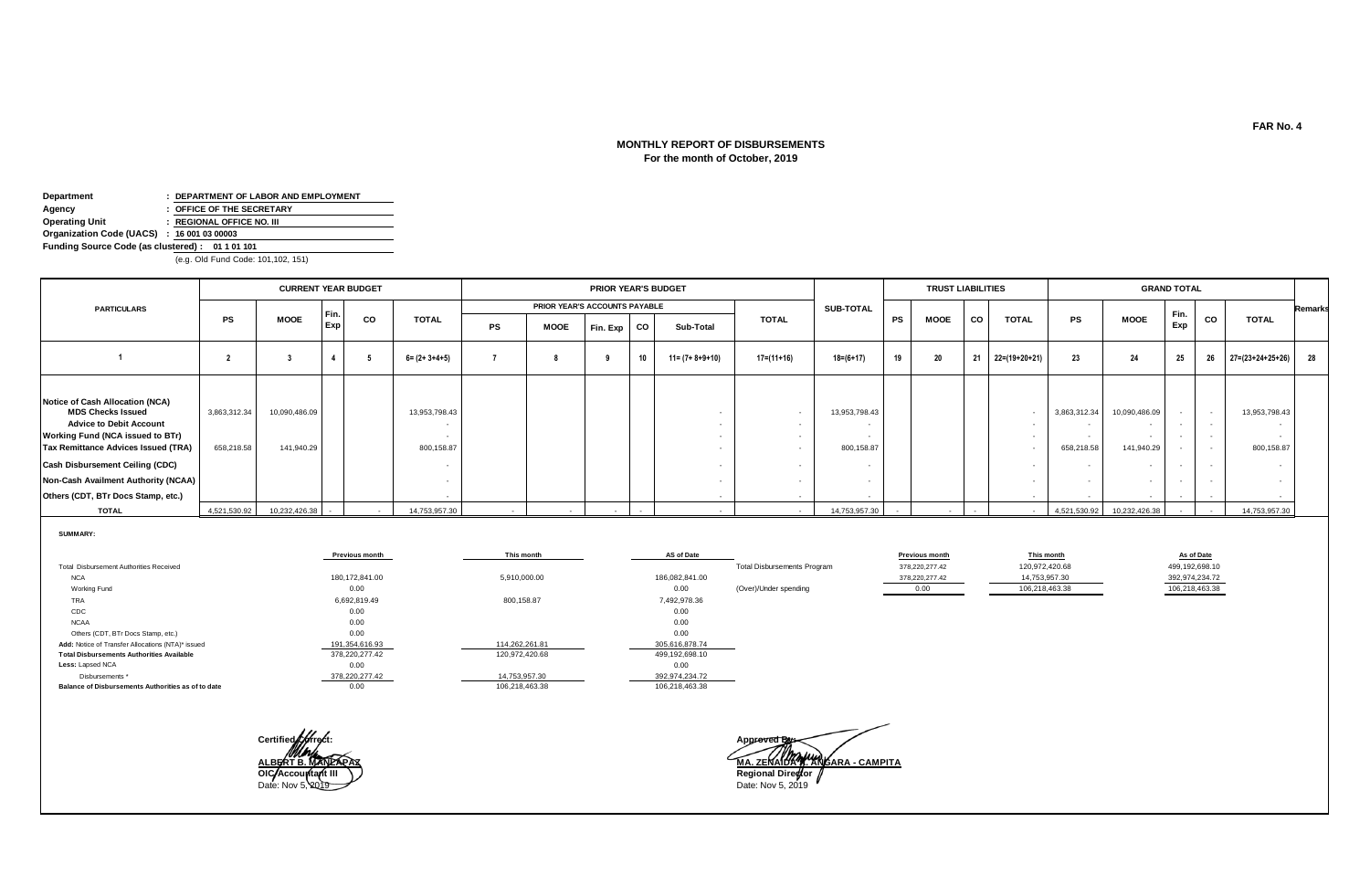# **MONTHLY REPORT OF DISBURSEMENTS For the month of October, 2019**

| Department                                      | : DEPARTMENT OF LABOR AND EMPLOYMENT |  |  |  |  |  |  |  |  |
|-------------------------------------------------|--------------------------------------|--|--|--|--|--|--|--|--|
| Agency                                          | : OFFICE OF THE SECRETARY            |  |  |  |  |  |  |  |  |
| <b>Operating Unit</b>                           | : REGIONAL OFFICE NO. III            |  |  |  |  |  |  |  |  |
| Organization Code (UACS) : 16 001 03 00003      |                                      |  |  |  |  |  |  |  |  |
| Funding Source Code (as clustered): 01 1 01 101 |                                      |  |  |  |  |  |  |  |  |
| (e.g. Old Fund Code: 101,102, 151)              |                                      |  |  |  |  |  |  |  |  |

|                                                                                                                                                                                                                                                                                          | <b>CURRENT YEAR BUDGET</b> |                             |      |    |                             | PRIOR YEAR'S BUDGET |                               |          |      |                         |                  |                             | <b>TRUST LIABILITIES</b> |             |    |               |                            | <b>GRAND TOTAL</b>          |             |        |                               |                |
|------------------------------------------------------------------------------------------------------------------------------------------------------------------------------------------------------------------------------------------------------------------------------------------|----------------------------|-----------------------------|------|----|-----------------------------|---------------------|-------------------------------|----------|------|-------------------------|------------------|-----------------------------|--------------------------|-------------|----|---------------|----------------------------|-----------------------------|-------------|--------|-------------------------------|----------------|
| <b>PARTICULARS</b>                                                                                                                                                                                                                                                                       |                            |                             | Fin. |    |                             |                     | PRIOR YEAR'S ACCOUNTS PAYABLE |          |      |                         |                  | SUB-TOTAL                   |                          |             |    |               |                            |                             |             |        |                               | <b>Remarks</b> |
|                                                                                                                                                                                                                                                                                          | <b>PS</b>                  | MOOE                        | Exp  | CO | <b>TOTAL</b>                | <b>PS</b>           | MOOE                          | Fin. Exp | l co | Sub-Total               | <b>TOTAL</b>     |                             | <b>PS</b>                | <b>MOOE</b> | co | <b>TOTAL</b>  | PS                         | <b>MOOE</b>                 | Fin.<br>Exp | CO     | <b>TOTAL</b>                  |                |
|                                                                                                                                                                                                                                                                                          |                            |                             |      |    | $6 = (2 + 3 + 4 + 5)$       |                     |                               |          | 10   | $11 = (7 + 8 + 9 + 10)$ | $17 = (11 + 16)$ | $18 = (6 + 17)$             | 19                       | 20          | 21 | 22=(19+20+21) | 23                         | 24                          | 25          | 26     | $27 = (23 + 24 + 25 + 26)$ 28 |                |
| Notice of Cash Allocation (NCA)<br><b>MDS Checks Issued</b><br><b>Advice to Debit Account</b><br>Working Fund (NCA issued to BTr)<br>Tax Remittance Advices Issued (TRA)<br>Cash Disbursement Ceiling (CDC)<br>Non-Cash Availment Authority (NCAA)<br>Others (CDT, BTr Docs Stamp, etc.) | 3,863,312.34<br>658,218.58 | 10,090,486.09<br>141,940.29 |      |    | 13,953,798.43<br>800,158.87 |                     |                               |          |      |                         |                  | 13,953,798.43<br>800,158.87 |                          |             |    |               | 3,863,312.34<br>658,218.58 | 10,090,486.09<br>141,940.29 |             | $\sim$ | 13,953,798.43<br>800,158.87   |                |
| <b>TOTAL</b>                                                                                                                                                                                                                                                                             | 4,521,530.92               | 10.232.426.38               |      |    | 14,753,957.30               |                     |                               |          |      |                         |                  | 14.753.957.30               |                          |             |    |               | 4,521,530.92               | 10,232,426.38               |             |        | 14,753,957.30                 |                |

|                                                    | <b>Previous month</b> | This month     | <b>AS of Date</b> |                                    | <b>Previous month</b> | This month     | As of Date     |
|----------------------------------------------------|-----------------------|----------------|-------------------|------------------------------------|-----------------------|----------------|----------------|
| Total Disbursement Authorities Received            |                       |                |                   | <b>Total Disbursements Program</b> | 378,220,277.42        | 120,972,420.68 | 499,192,698.10 |
| <b>NCA</b>                                         | 180,172,841.00        | 5,910,000.00   | 186,082,841.00    |                                    | 378,220,277.42        | 14,753,957.30  | 392,974,234.72 |
| Working Fund                                       | 0.00                  |                | 0.00              | (Over)/Under spending              |                       | 106,218,463.38 | 106,218,463.38 |
| <b>TRA</b>                                         | 6,692,819.49          | 800,158.87     | 7,492,978.36      |                                    |                       |                |                |
| CDC                                                | 0.00                  |                | 0.00              |                                    |                       |                |                |
| <b>NCAA</b>                                        | 0.00                  |                | 0.00              |                                    |                       |                |                |
| Others (CDT, BTr Docs Stamp, etc.)                 | 0.00                  |                | 0.00              |                                    |                       |                |                |
| Add: Notice of Transfer Allocations (NTA)* issued  | 191,354,616.93        | 114,262,261.81 | 305,616,878.74    |                                    |                       |                |                |
| <b>Total Disbursements Authorities Available</b>   | 378,220,277.42        | 120,972,420.68 | 499,192,698.10    |                                    |                       |                |                |
| Less: Lapsed NCA                                   | 0.00                  |                | 0.00              |                                    |                       |                |                |
| Disbursements *                                    | 378,220,277.42        | 14,753,957.30  | 392,974,234.72    |                                    |                       |                |                |
| Balance of Disbursements Authorities as of to date | 0.00                  | 106,218,463.38 | 106,218,463.38    |                                    |                       |                |                |



**ALBERT B. MANLAPAZ MA. ZENAIDA A. ANGARA - CAMPITA OIC-Accountant III Regional Director**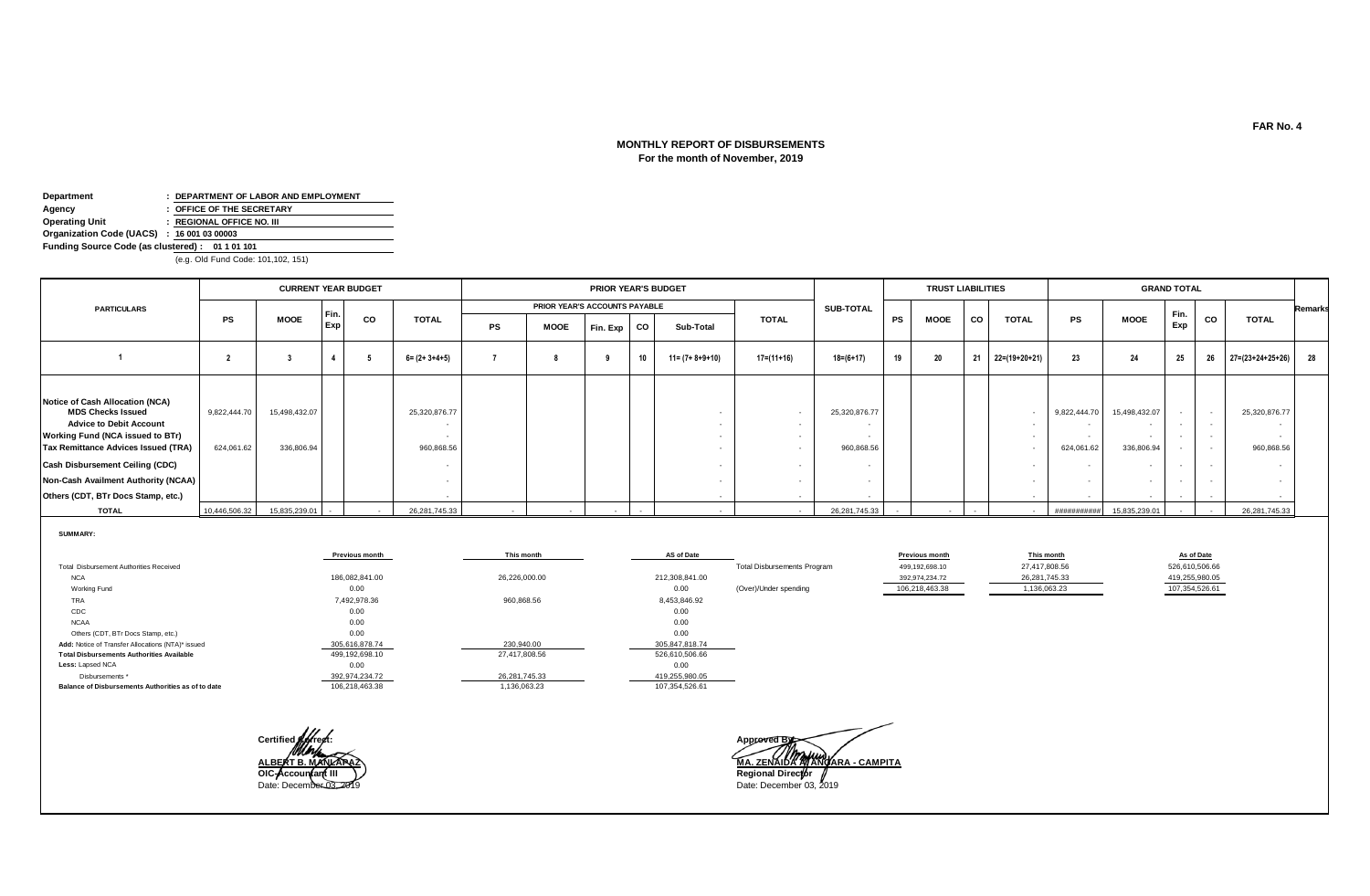# **For the month of November, 2019 MONTHLY REPORT OF DISBURSEMENTS**

| Department                                      | : DEPARTMENT OF LABOR AND EMPLOYMENT |  |  |  |  |  |  |  |  |
|-------------------------------------------------|--------------------------------------|--|--|--|--|--|--|--|--|
| Agency                                          | : OFFICE OF THE SECRETARY            |  |  |  |  |  |  |  |  |
| <b>Operating Unit</b>                           | : REGIONAL OFFICE NO. III            |  |  |  |  |  |  |  |  |
| Organization Code (UACS) : 16 001 03 00003      |                                      |  |  |  |  |  |  |  |  |
| Funding Source Code (as clustered): 01 1 01 101 |                                      |  |  |  |  |  |  |  |  |
| (e.g. Old Fund Code: 101,102, 151)              |                                      |  |  |  |  |  |  |  |  |

|                                                                                                                                                                                                                                                                                          | <b>CURRENT YEAR BUDGET</b> |                             |      |    |                             |           |                               | PRIOR YEAR'S BUDGET |      |                         |                  |                             | <b>TRUST LIABILITIES</b> |             |    |               | <b>GRAND TOTAL</b>         |                                    |             |        |                               |                |
|------------------------------------------------------------------------------------------------------------------------------------------------------------------------------------------------------------------------------------------------------------------------------------------|----------------------------|-----------------------------|------|----|-----------------------------|-----------|-------------------------------|---------------------|------|-------------------------|------------------|-----------------------------|--------------------------|-------------|----|---------------|----------------------------|------------------------------------|-------------|--------|-------------------------------|----------------|
| <b>PARTICULARS</b>                                                                                                                                                                                                                                                                       |                            |                             | Fin. |    |                             |           | PRIOR YEAR'S ACCOUNTS PAYABLE |                     |      |                         |                  | SUB-TOTAL                   |                          |             |    |               |                            |                                    |             |        |                               | <b>Remarks</b> |
|                                                                                                                                                                                                                                                                                          | <b>PS</b>                  | MOOE                        | Exp  | CO | <b>TOTAL</b>                | <b>PS</b> | <b>MOOE</b>                   | Fin. Exp            | l co | Sub-Total               | <b>TOTAL</b>     |                             | <b>PS</b>                | <b>MOOE</b> | co | <b>TOTAL</b>  | PS                         | <b>MOOE</b>                        | Fin.<br>Exp | CO     | <b>TOTAL</b>                  |                |
|                                                                                                                                                                                                                                                                                          |                            |                             |      |    | $6 = (2 + 3 + 4 + 5)$       |           |                               |                     | 10   | $11 = (7 + 8 + 9 + 10)$ | $17 = (11 + 16)$ | $18 = (6 + 17)$             | 19                       | 20          | 21 | 22=(19+20+21) | 23                         | 24                                 | 25          | 26     | $27 = (23 + 24 + 25 + 26)$ 28 |                |
| Notice of Cash Allocation (NCA)<br><b>MDS Checks Issued</b><br><b>Advice to Debit Account</b><br>Working Fund (NCA issued to BTr)<br>Tax Remittance Advices Issued (TRA)<br>Cash Disbursement Ceiling (CDC)<br>Non-Cash Availment Authority (NCAA)<br>Others (CDT, BTr Docs Stamp, etc.) | 9,822,444.70<br>624,061.62 | 15,498,432.07<br>336,806.94 |      |    | 25,320,876.77<br>960,868.56 |           |                               |                     |      |                         |                  | 25,320,876.77<br>960,868.56 |                          |             |    |               | 9,822,444.70<br>624,061.62 | 15,498,432.07<br>. .<br>336,806.94 |             | $\sim$ | 25,320,876.77<br>960,868.56   |                |
| <b>TOTAL</b>                                                                                                                                                                                                                                                                             | 10,446,506.32              | 15.835.239.01               |      |    | 26,281,745.33               |           |                               |                     |      |                         |                  | 26,281,745.33               |                          |             |    |               | ##########                 | 15.835.239.01                      |             |        | 26.281.745.33                 |                |

|                                                    | <b>Previous month</b> | This month    | AS of Date     |                                    | <b>Previous month</b> | This month    | As of Date     |
|----------------------------------------------------|-----------------------|---------------|----------------|------------------------------------|-----------------------|---------------|----------------|
| Total Disbursement Authorities Received            |                       |               |                | <b>Total Disbursements Program</b> | 499,192,698.10        | 27,417,808.56 | 526,610,506.66 |
| <b>NCA</b>                                         | 186,082,841.00        | 26,226,000.00 | 212,308,841.00 |                                    | 392.974.234.72        | 26.281.745.33 | 419,255,980.05 |
| Working Fund                                       | 0.00                  |               | 0.00           | (Over)/Under spending              | 106,218,463.38        | 1,136,063.23  | 107,354,526.61 |
| TRA                                                | 7,492,978.36          | 960,868.56    | 8,453,846.92   |                                    |                       |               |                |
| CDC                                                | 0.00                  |               | 0.00           |                                    |                       |               |                |
| <b>NCAA</b>                                        | 0.00                  |               | 0.00           |                                    |                       |               |                |
| Others (CDT, BTr Docs Stamp, etc.)                 | 0.00                  |               | 0.00           |                                    |                       |               |                |
| Add: Notice of Transfer Allocations (NTA)* issued  | 305,616,878.74        | 230.940.00    | 305,847,818.74 |                                    |                       |               |                |
| <b>Total Disbursements Authorities Available</b>   | 499,192,698.10        | 27,417,808.56 | 526,610,506.66 |                                    |                       |               |                |
| Less: Lapsed NCA                                   | 0.00                  |               | 0.00           |                                    |                       |               |                |
| Disbursements <sup>*</sup>                         | 392,974,234.72        | 26,281,745.33 | 419,255,980.05 |                                    |                       |               |                |
| Balance of Disbursements Authorities as of to date | 106,218,463.38        | 1,136,063.23  | 107,354,526.61 |                                    |                       |               |                |



**ALBERT B. MANZAPAZ**<br> **ALBERT B. MANZAPAZ**<br>
Date: December 03, 2019<br>
Date: December 03, 2019

**FAR No. 4**